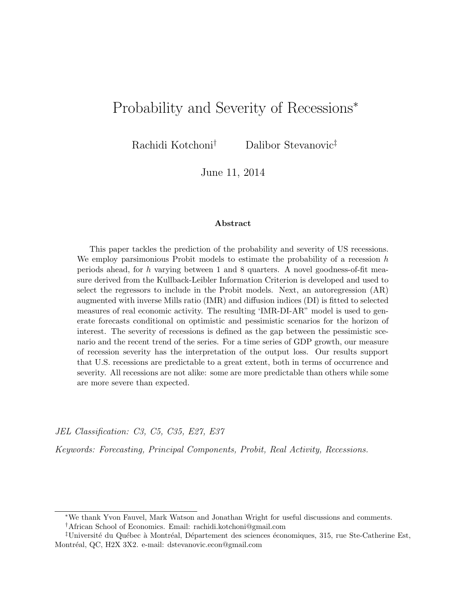# Probability and Severity of Recessions<sup>∗</sup>

Rachidi Kotchoni† Dalibor Stevanovic‡

June 11, 2014

#### Abstract

This paper tackles the prediction of the probability and severity of US recessions. We employ parsimonious Probit models to estimate the probability of a recession  $h$ periods ahead, for h varying between 1 and 8 quarters. A novel goodness-of-fit measure derived from the Kullback-Leibler Information Criterion is developed and used to select the regressors to include in the Probit models. Next, an autoregression (AR) augmented with inverse Mills ratio (IMR) and diffusion indices (DI) is fitted to selected measures of real economic activity. The resulting 'IMR-DI-AR" model is used to generate forecasts conditional on optimistic and pessimistic scenarios for the horizon of interest. The severity of recessions is defined as the gap between the pessimistic scenario and the recent trend of the series. For a time series of GDP growth, our measure of recession severity has the interpretation of the output loss. Our results support that U.S. recessions are predictable to a great extent, both in terms of occurrence and severity. All recessions are not alike: some are more predictable than others while some are more severe than expected.

JEL Classification: C3, C5, C35, E27, E37

Keywords: Forecasting, Principal Components, Probit, Real Activity, Recessions.

†African School of Economics. Email: rachidi.kotchoni@gmail.com

<sup>∗</sup>We thank Yvon Fauvel, Mark Watson and Jonathan Wright for useful discussions and comments.

 $\ddagger$ Université du Québec à Montréal, Département des sciences économiques, 315, rue Ste-Catherine Est, Montréal, QC, H2X 3X2. e-mail: dstevanovic.econ@gmail.com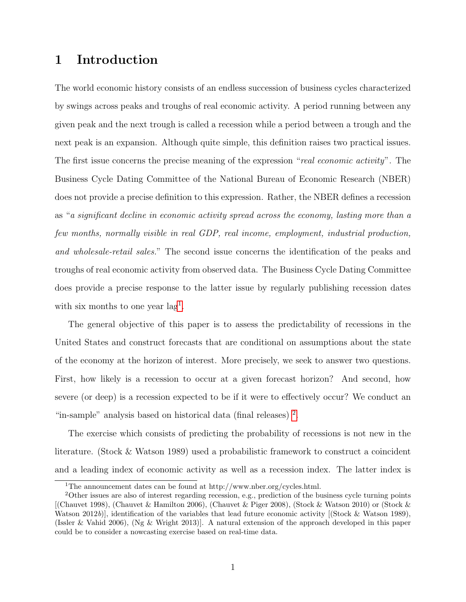# 1 Introduction

The world economic history consists of an endless succession of business cycles characterized by swings across peaks and troughs of real economic activity. A period running between any given peak and the next trough is called a recession while a period between a trough and the next peak is an expansion. Although quite simple, this definition raises two practical issues. The first issue concerns the precise meaning of the expression "real economic activity". The Business Cycle Dating Committee of the National Bureau of Economic Research (NBER) does not provide a precise definition to this expression. Rather, the NBER defines a recession as "a significant decline in economic activity spread across the economy, lasting more than a few months, normally visible in real GDP, real income, employment, industrial production, and wholesale-retail sales." The second issue concerns the identification of the peaks and troughs of real economic activity from observed data. The Business Cycle Dating Committee does provide a precise response to the latter issue by regularly publishing recession dates with six months to one year lag<sup>[1](#page-1-0)</sup>.

The general objective of this paper is to assess the predictability of recessions in the United States and construct forecasts that are conditional on assumptions about the state of the economy at the horizon of interest. More precisely, we seek to answer two questions. First, how likely is a recession to occur at a given forecast horizon? And second, how severe (or deep) is a recession expected to be if it were to effectively occur? We conduct an "in-sample" analysis based on historical data (final releases)<sup>[2](#page-1-1)</sup>.

The exercise which consists of predicting the probability of recessions is not new in the literature. (Stock & Watson 1989) used a probabilistic framework to construct a coincident and a leading index of economic activity as well as a recession index. The latter index is

<span id="page-1-1"></span><span id="page-1-0"></span><sup>&</sup>lt;sup>1</sup>The announcement dates can be found at  $http://www.nber.org/cycles.html$ .

<sup>2</sup>Other issues are also of interest regarding recession, e.g., prediction of the business cycle turning points  $[$ (Chauvet 1998), (Chauvet & Hamilton 2006), (Chauvet & Piger 2008), (Stock & Watson 2010) or (Stock & Watson 2012b), identification of the variables that lead future economic activity  $[{\rm (Stock & Watson 1989)},$ (Issler & Vahid 2006), (Ng & Wright 2013)]. A natural extension of the approach developed in this paper could be to consider a nowcasting exercise based on real-time data.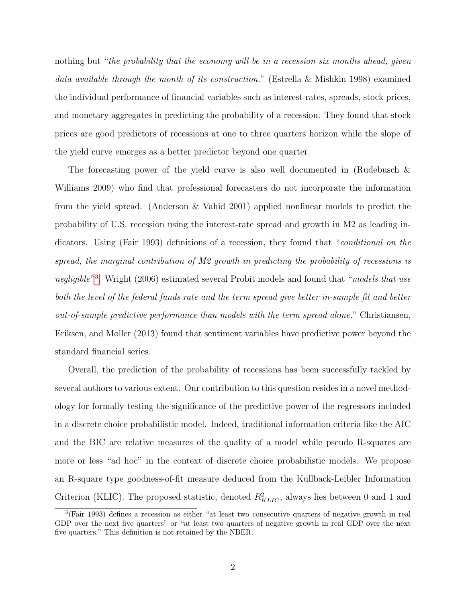nothing but "the probability that the economy will be in a recession six months ahead, given data available through the month of its construction." (Estrella & Mishkin 1998) examined the individual performance of financial variables such as interest rates, spreads, stock prices, and monetary aggregates in predicting the probability of a recession. They found that stock prices are good predictors of recessions at one to three quarters horizon while the slope of the yield curve emerges as a better predictor beyond one quarter.

The forecasting power of the yield curve is also well documented in (Rudebusch & Williams 2009) who find that professional forecasters do not incorporate the information from the yield spread. (Anderson & Vahid 2001) applied nonlinear models to predict the probability of U.S. recession using the interest-rate spread and growth in M2 as leading indicators. Using (Fair 1993) definitions of a recession, they found that "*conditional on the* spread, the marginal contribution of M2 growth in predicting the probability of recessions is negligible"<sup>[3](#page-2-0)</sup>. Wright (2006) estimated several Probit models and found that "models that use both the level of the federal funds rate and the term spread give better in-sample fit and better out-of-sample predictive performance than models with the term spread alone." Christiansen, Eriksen, and Møller (2013) found that sentiment variables have predictive power beyond the standard financial series.

Overall, the prediction of the probability of recessions has been successfully tackled by several authors to various extent. Our contribution to this question resides in a novel methodology for formally testing the significance of the predictive power of the regressors included in a discrete choice probabilistic model. Indeed, traditional information criteria like the AIC and the BIC are relative measures of the quality of a model while pseudo R-squares are more or less "ad hoc" in the context of discrete choice probabilistic models. We propose an R-square type goodness-of-fit measure deduced from the Kullback-Leibler Information Criterion (KLIC). The proposed statistic, denoted  $R_{KLIC}^2$ , always lies between 0 and 1 and

<span id="page-2-0"></span><sup>&</sup>lt;sup>3</sup>(Fair 1993) defines a recession as either "at least two consecutive quarters of negative growth in real GDP over the next five quarters" or "at least two quarters of negative growth in real GDP over the next five quarters." This definition is not retained by the NBER.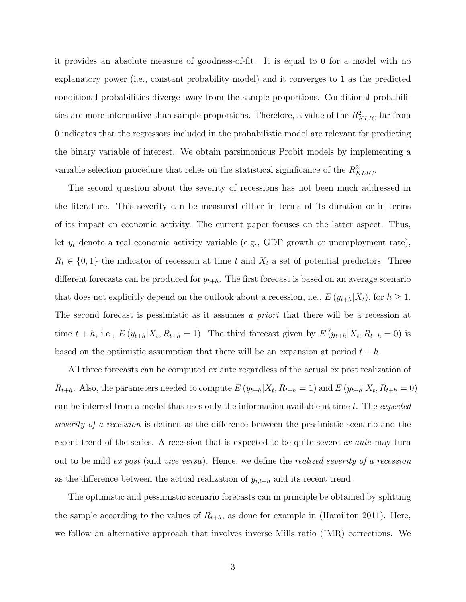it provides an absolute measure of goodness-of-fit. It is equal to 0 for a model with no explanatory power (i.e., constant probability model) and it converges to 1 as the predicted conditional probabilities diverge away from the sample proportions. Conditional probabilities are more informative than sample proportions. Therefore, a value of the  $R_{KLIC}^2$  far from 0 indicates that the regressors included in the probabilistic model are relevant for predicting the binary variable of interest. We obtain parsimonious Probit models by implementing a variable selection procedure that relies on the statistical significance of the  $R_{KLIC}^2$ .

The second question about the severity of recessions has not been much addressed in the literature. This severity can be measured either in terms of its duration or in terms of its impact on economic activity. The current paper focuses on the latter aspect. Thus, let  $y_t$  denote a real economic activity variable (e.g., GDP growth or unemployment rate),  $R_t \in \{0,1\}$  the indicator of recession at time t and  $X_t$  a set of potential predictors. Three different forecasts can be produced for  $y_{t+h}$ . The first forecast is based on an average scenario that does not explicitly depend on the outlook about a recession, i.e.,  $E(y_{t+h}|X_t)$ , for  $h \geq 1$ . The second forecast is pessimistic as it assumes a *priori* that there will be a recession at time  $t + h$ , i.e.,  $E(y_{t+h}|X_t, R_{t+h} = 1)$ . The third forecast given by  $E(y_{t+h}|X_t, R_{t+h} = 0)$  is based on the optimistic assumption that there will be an expansion at period  $t + h$ .

All three forecasts can be computed ex ante regardless of the actual ex post realization of  $R_{t+h}$ . Also, the parameters needed to compute  $E(y_{t+h}|X_t, R_{t+h} = 1)$  and  $E(y_{t+h}|X_t, R_{t+h} = 0)$ can be inferred from a model that uses only the information available at time t. The expected severity of a recession is defined as the difference between the pessimistic scenario and the recent trend of the series. A recession that is expected to be quite severe ex ante may turn out to be mild ex post (and vice versa). Hence, we define the realized severity of a recession as the difference between the actual realization of  $y_{i,t+h}$  and its recent trend.

The optimistic and pessimistic scenario forecasts can in principle be obtained by splitting the sample according to the values of  $R_{t+h}$ , as done for example in (Hamilton 2011). Here, we follow an alternative approach that involves inverse Mills ratio (IMR) corrections. We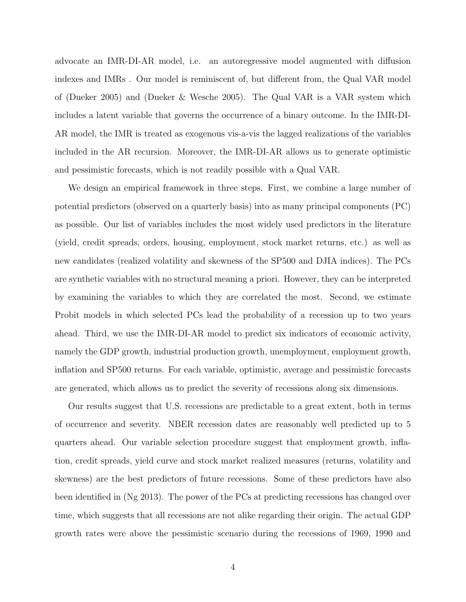advocate an IMR-DI-AR model, i.e. an autoregressive model augmented with diffusion indexes and IMRs . Our model is reminiscent of, but different from, the Qual VAR model of (Dueker 2005) and (Dueker & Wesche 2005). The Qual VAR is a VAR system which includes a latent variable that governs the occurrence of a binary outcome. In the IMR-DI-AR model, the IMR is treated as exogenous vis-a-vis the lagged realizations of the variables included in the AR recursion. Moreover, the IMR-DI-AR allows us to generate optimistic and pessimistic forecasts, which is not readily possible with a Qual VAR.

We design an empirical framework in three steps. First, we combine a large number of potential predictors (observed on a quarterly basis) into as many principal components (PC) as possible. Our list of variables includes the most widely used predictors in the literature (yield, credit spreads, orders, housing, employment, stock market returns, etc.) as well as new candidates (realized volatility and skewness of the SP500 and DJIA indices). The PCs are synthetic variables with no structural meaning a priori. However, they can be interpreted by examining the variables to which they are correlated the most. Second, we estimate Probit models in which selected PCs lead the probability of a recession up to two years ahead. Third, we use the IMR-DI-AR model to predict six indicators of economic activity, namely the GDP growth, industrial production growth, unemployment, employment growth, inflation and SP500 returns. For each variable, optimistic, average and pessimistic forecasts are generated, which allows us to predict the severity of recessions along six dimensions.

Our results suggest that U.S. recessions are predictable to a great extent, both in terms of occurrence and severity. NBER recession dates are reasonably well predicted up to 5 quarters ahead. Our variable selection procedure suggest that employment growth, inflation, credit spreads, yield curve and stock market realized measures (returns, volatility and skewness) are the best predictors of future recessions. Some of these predictors have also been identified in (Ng 2013). The power of the PCs at predicting recessions has changed over time, which suggests that all recessions are not alike regarding their origin. The actual GDP growth rates were above the pessimistic scenario during the recessions of 1969, 1990 and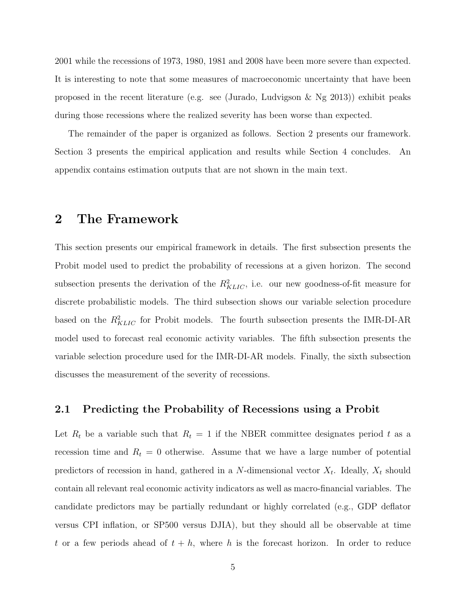2001 while the recessions of 1973, 1980, 1981 and 2008 have been more severe than expected. It is interesting to note that some measures of macroeconomic uncertainty that have been proposed in the recent literature (e.g. see (Jurado, Ludvigson & Ng 2013)) exhibit peaks during those recessions where the realized severity has been worse than expected.

The remainder of the paper is organized as follows. Section 2 presents our framework. Section 3 presents the empirical application and results while Section 4 concludes. An appendix contains estimation outputs that are not shown in the main text.

## 2 The Framework

This section presents our empirical framework in details. The first subsection presents the Probit model used to predict the probability of recessions at a given horizon. The second subsection presents the derivation of the  $R_{KLIC}^2$ , i.e. our new goodness-of-fit measure for discrete probabilistic models. The third subsection shows our variable selection procedure based on the  $R_{KLIC}^2$  for Probit models. The fourth subsection presents the IMR-DI-AR model used to forecast real economic activity variables. The fifth subsection presents the variable selection procedure used for the IMR-DI-AR models. Finally, the sixth subsection discusses the measurement of the severity of recessions.

### 2.1 Predicting the Probability of Recessions using a Probit

Let  $R_t$  be a variable such that  $R_t = 1$  if the NBER committee designates period t as a recession time and  $R_t = 0$  otherwise. Assume that we have a large number of potential predictors of recession in hand, gathered in a N-dimensional vector  $X_t$ . Ideally,  $X_t$  should contain all relevant real economic activity indicators as well as macro-financial variables. The candidate predictors may be partially redundant or highly correlated (e.g., GDP deflator versus CPI inflation, or SP500 versus DJIA), but they should all be observable at time t or a few periods ahead of  $t + h$ , where h is the forecast horizon. In order to reduce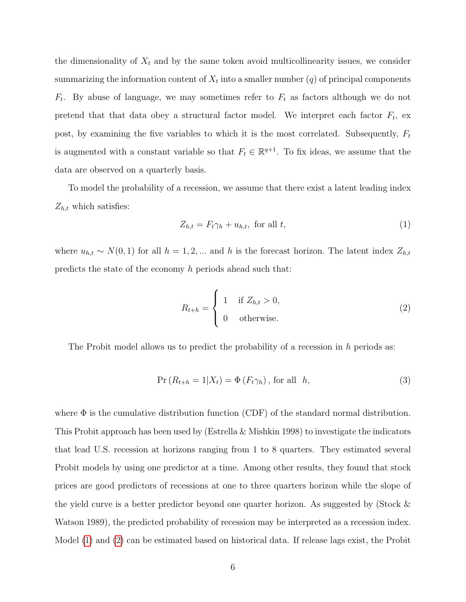the dimensionality of  $X_t$  and by the same token avoid multicollinearity issues, we consider summarizing the information content of  $X_t$  into a smaller number  $(q)$  of principal components  $F_t$ . By abuse of language, we may sometimes refer to  $F_t$  as factors although we do not pretend that that data obey a structural factor model. We interpret each factor  $F_t$ , ex post, by examining the five variables to which it is the most correlated. Subsequently,  $F_t$ is augmented with a constant variable so that  $F_t \in \mathbb{R}^{q+1}$ . To fix ideas, we assume that the data are observed on a quarterly basis.

To model the probability of a recession, we assume that there exist a latent leading index  $Z_{h,t}$  which satisfies:

<span id="page-6-0"></span>
$$
Z_{h,t} = F_t \gamma_h + u_{h,t}, \text{ for all } t,
$$
\n<sup>(1)</sup>

where  $u_{h,t} \sim N(0, 1)$  for all  $h = 1, 2, ...$  and h is the forecast horizon. The latent index  $Z_{h,t}$ predicts the state of the economy h periods ahead such that:

<span id="page-6-1"></span>
$$
R_{t+h} = \begin{cases} 1 & \text{if } Z_{h,t} > 0, \\ 0 & \text{otherwise.} \end{cases}
$$
 (2)

The Probit model allows us to predict the probability of a recession in  $h$  periods as:

$$
Pr(R_{t+h} = 1 | X_t) = \Phi(F_t \gamma_h), \text{ for all } h,
$$
\n(3)

where  $\Phi$  is the cumulative distribution function (CDF) of the standard normal distribution. This Probit approach has been used by (Estrella & Mishkin 1998) to investigate the indicators that lead U.S. recession at horizons ranging from 1 to 8 quarters. They estimated several Probit models by using one predictor at a time. Among other results, they found that stock prices are good predictors of recessions at one to three quarters horizon while the slope of the yield curve is a better predictor beyond one quarter horizon. As suggested by (Stock & Watson 1989), the predicted probability of recession may be interpreted as a recession index. Model [\(1\)](#page-6-0) and [\(2\)](#page-6-1) can be estimated based on historical data. If release lags exist, the Probit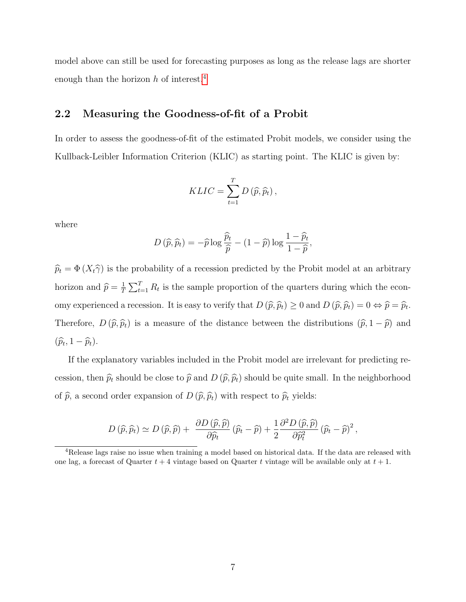model above can still be used for forecasting purposes as long as the release lags are shorter enough than the horizon  $h$  of interest.<sup>[4](#page-7-0)</sup>

## 2.2 Measuring the Goodness-of-fit of a Probit

In order to assess the goodness-of-fit of the estimated Probit models, we consider using the Kullback-Leibler Information Criterion (KLIC) as starting point. The KLIC is given by:

$$
KLLC = \sum_{t=1}^{T} D(\widehat{p}, \widehat{p}_t),
$$

where

$$
D(\widehat{p}, \widehat{p}_t) = -\widehat{p} \log \frac{\widehat{p}_t}{\widehat{p}} - (1 - \widehat{p}) \log \frac{1 - \widehat{p}_t}{1 - \widehat{p}},
$$

 $\hat{p}_t = \Phi(X_t\hat{\gamma})$  is the probability of a recession predicted by the Probit model at an arbitrary horizon and  $\hat{p} = \frac{1}{T}$  $\frac{1}{T} \sum_{t=1}^{T} R_t$  is the sample proportion of the quarters during which the economy experienced a recession. It is easy to verify that  $D(\widehat{p}, \widehat{p}_t) \ge 0$  and  $D(\widehat{p}, \widehat{p}_t) = 0 \Leftrightarrow \widehat{p} = \widehat{p}_t$ . Therefore,  $D(\hat{p}, \hat{p}_t)$  is a measure of the distance between the distributions  $(\hat{p}, 1 - \hat{p})$  and  $(\widehat{p}_t, 1-\widehat{p}_t).$ 

If the explanatory variables included in the Probit model are irrelevant for predicting recession, then  $\hat{p}_t$  should be close to  $\hat{p}$  and  $D (\hat{p}, \hat{p}_t)$  should be quite small. In the neighborhood of  $\widehat{p}$ , a second order expansion of  $D$   $(\widehat{p}, \widehat{p}_t)$  with respect to  $\widehat{p}_t$  yields:

$$
D(\widehat{p},\widehat{p}_t) \simeq D(\widehat{p},\widehat{p}) + \frac{\partial D(\widehat{p},\widehat{p})}{\partial \widehat{p}_t} (\widehat{p}_t - \widehat{p}) + \frac{1}{2} \frac{\partial^2 D(\widehat{p},\widehat{p})}{\partial \widehat{p}_t^2} (\widehat{p}_t - \widehat{p})^2,
$$

<span id="page-7-0"></span><sup>4</sup>Release lags raise no issue when training a model based on historical data. If the data are released with one lag, a forecast of Quarter  $t + 4$  vintage based on Quarter t vintage will be available only at  $t + 1$ .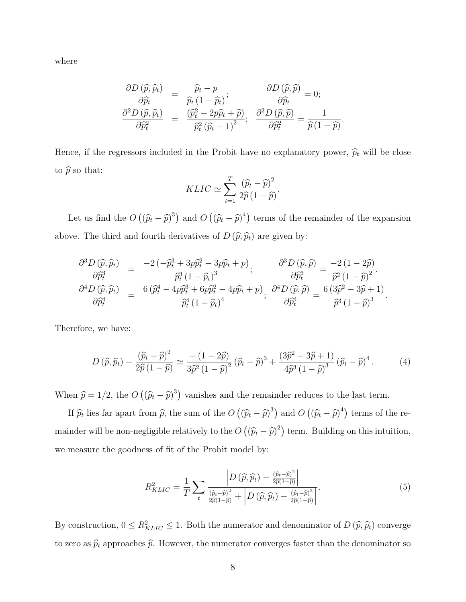where

$$
\frac{\partial D(\widehat{p}, \widehat{p}_t)}{\partial \widehat{p}_t} = \frac{\widehat{p}_t - p}{\widehat{p}_t (1 - \widehat{p}_t)}; \qquad \frac{\partial D(\widehat{p}, \widehat{p})}{\partial \widehat{p}_t} = 0; \n\frac{\partial^2 D(\widehat{p}, \widehat{p}_t)}{\partial \widehat{p}_t^2} = \frac{(\widehat{p}_t^2 - 2p\widehat{p}_t + \widehat{p})}{\widehat{p}_t^2 (\widehat{p}_t - 1)^2}; \frac{\partial^2 D(\widehat{p}, \widehat{p})}{\partial \widehat{p}_t^2} = \frac{1}{\widehat{p}(1 - \widehat{p})}
$$

.

Hence, if the regressors included in the Probit have no explanatory power,  $\hat{p}_t$  will be close to  $\widehat{p}$  so that:

$$
KLIC \simeq \sum_{t=1}^{T} \frac{(\widehat{p}_t - \widehat{p})^2}{2\widehat{p}(1-\widehat{p})}.
$$

Let us find the  $O((\hat{p}_t - \hat{p})^3)$  and  $O((\hat{p}_t - \hat{p})^4)$  terms of the remainder of the expansion above. The third and fourth derivatives of  $D(\hat{p}, \hat{p}_t)$  are given by:

$$
\frac{\partial^3 D\left(\widehat{p}, \widehat{p}_t\right)}{\partial \widehat{p}_t^3} = \frac{-2\left(-\widehat{p}_t^3 + 3p\widehat{p}_t^2 - 3p\widehat{p}_t + p\right)}{\widehat{p}_t^3 \left(1 - \widehat{p}_t\right)^3}; \qquad \frac{\partial^3 D\left(\widehat{p}, \widehat{p}\right)}{\partial \widehat{p}_t^3} = \frac{-2\left(1 - 2\widehat{p}\right)}{\widehat{p}^2 \left(1 - \widehat{p}\right)^2}.
$$
\n
$$
\frac{\partial^4 D\left(\widehat{p}, \widehat{p}_t\right)}{\partial \widehat{p}_t^4} = \frac{6\left(\widehat{p}_t^4 - 4p\widehat{p}_t^3 + 6p\widehat{p}_t^2 - 4p\widehat{p}_t + p\right)}{\widehat{p}_t^4 \left(1 - \widehat{p}_t\right)^4}; \ \frac{\partial^4 D\left(\widehat{p}, \widehat{p}\right)}{\partial \widehat{p}_t^4} = \frac{6\left(3\widehat{p}^2 - 3\widehat{p} + 1\right)}{\widehat{p}^3 \left(1 - \widehat{p}\right)^3}.
$$

Therefore, we have:

<span id="page-8-0"></span>
$$
D\left(\widehat{p},\widehat{p}_t\right) - \frac{\left(\widehat{p}_t - \widehat{p}\right)^2}{2\widehat{p}\left(1 - \widehat{p}\right)} \simeq \frac{-\left(1 - 2\widehat{p}\right)}{3\widehat{p}^2\left(1 - \widehat{p}\right)^2} \left(\widehat{p}_t - \widehat{p}\right)^3 + \frac{\left(3\widehat{p}^2 - 3\widehat{p} + 1\right)}{4\widehat{p}^3\left(1 - \widehat{p}\right)^3} \left(\widehat{p}_t - \widehat{p}\right)^4. \tag{4}
$$

When  $\hat{p} = 1/2$ , the  $O((\hat{p}_t - \hat{p})^3)$  vanishes and the remainder reduces to the last term.

If  $\hat{p}_t$  lies far apart from  $\hat{p}$ , the sum of the  $O((\hat{p}_t - \hat{p})^3)$  and  $O((\hat{p}_t - \hat{p})^4)$  terms of the remainder will be non-negligible relatively to the  $O((\widehat{p}_t - \widehat{p})^2)$  term. Building on this intuition, we measure the goodness of fit of the Probit model by:

<span id="page-8-1"></span>
$$
R_{KLLC}^2 = \frac{1}{T} \sum_{t} \frac{\left| D\left(\widehat{p}, \widehat{p}_t\right) - \frac{\left(\widehat{p}_t - \widehat{p}\right)^2}{2\widehat{p}(1-\widehat{p})}\right|}{\frac{\left(\widehat{p}_t - \widehat{p}\right)^2}{2\widehat{p}(1-\widehat{p})} + \left| D\left(\widehat{p}, \widehat{p}_t\right) - \frac{\left(\widehat{p}_t - \widehat{p}\right)^2}{2\widehat{p}(1-\widehat{p})}\right|}.\tag{5}
$$

By construction,  $0 \le R_{KLIC}^2 \le 1$ . Both the numerator and denominator of  $D(\hat{p}, \hat{p}_t)$  converge to zero as  $\hat{p}_t$  approaches  $\hat{p}_t$ . However, the numerator converges faster than the denominator so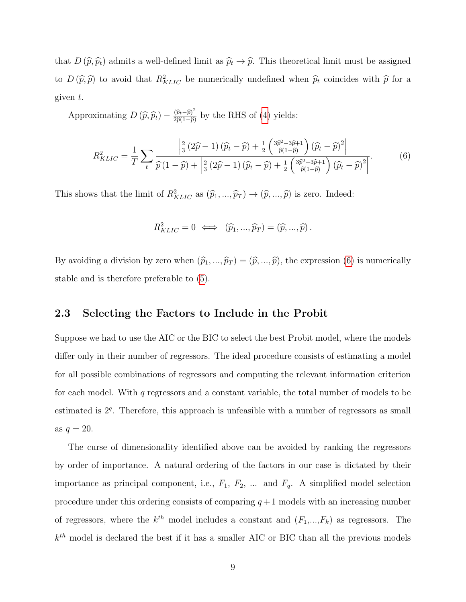that  $D(\hat{p}, \hat{p}_t)$  admits a well-defined limit as  $\hat{p}_t \to \hat{p}$ . This theoretical limit must be assigned to  $D(\hat{p}, \hat{p})$  to avoid that  $R_{KLIC}^2$  be numerically undefined when  $\hat{p}_t$  coincides with  $\hat{p}$  for a given t.

Approximating  $D(\widehat{p}, \widehat{p}_t) - \frac{(\widehat{p}_t - \widehat{p})^2}{2\widehat{p}(1-\widehat{p})}$  $\frac{(p_t-p)^2}{2\hat{p}(1-\hat{p})}$  by the RHS of [\(4\)](#page-8-0) yields:

<span id="page-9-0"></span>
$$
R_{KLIC}^2 = \frac{1}{T} \sum_{t} \frac{\left| \frac{2}{3} \left( 2\hat{p} - 1 \right) \left( \hat{p}_t - \hat{p} \right) + \frac{1}{2} \left( \frac{3\hat{p}^2 - 3\hat{p} + 1}{\hat{p}(1 - \hat{p})} \right) \left( \hat{p}_t - \hat{p} \right)^2 \right|}{\hat{p}(1 - \hat{p}) + \left| \frac{2}{3} \left( 2\hat{p} - 1 \right) \left( \hat{p}_t - \hat{p} \right) + \frac{1}{2} \left( \frac{3\hat{p}^2 - 3\hat{p} + 1}{\hat{p}(1 - \hat{p})} \right) \left( \hat{p}_t - \hat{p} \right)^2 \right|}.
$$
(6)

This shows that the limit of  $R_{KLIC}^2$  as  $(\hat{p}_1, ..., \hat{p}_T) \to (\hat{p}, ..., \hat{p})$  is zero. Indeed:

$$
R_{KLIC}^2 = 0 \iff (\widehat{p}_1, ..., \widehat{p}_T) = (\widehat{p}, ..., \widehat{p}).
$$

By avoiding a division by zero when  $(\hat{p}_1, ..., \hat{p}_T) = (\hat{p}, ..., \hat{p})$ , the expression [\(6\)](#page-9-0) is numerically stable and is therefore preferable to [\(5\)](#page-8-1).

#### 2.3 Selecting the Factors to Include in the Probit

Suppose we had to use the AIC or the BIC to select the best Probit model, where the models differ only in their number of regressors. The ideal procedure consists of estimating a model for all possible combinations of regressors and computing the relevant information criterion for each model. With  $q$  regressors and a constant variable, the total number of models to be estimated is  $2<sup>q</sup>$ . Therefore, this approach is unfeasible with a number of regressors as small as  $q=20$ .

The curse of dimensionality identified above can be avoided by ranking the regressors by order of importance. A natural ordering of the factors in our case is dictated by their importance as principal component, i.e.,  $F_1$ ,  $F_2$ , ... and  $F_q$ . A simplified model selection procedure under this ordering consists of comparing  $q + 1$  models with an increasing number of regressors, where the  $k^{th}$  model includes a constant and  $(F_1,...,F_k)$  as regressors. The  $k<sup>th</sup>$  model is declared the best if it has a smaller AIC or BIC than all the previous models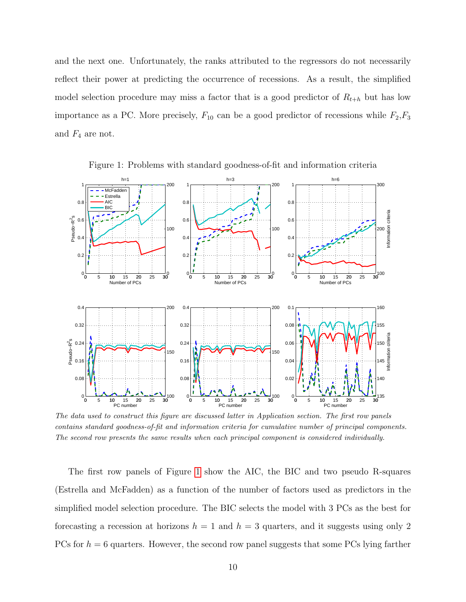and the next one. Unfortunately, the ranks attributed to the regressors do not necessarily reflect their power at predicting the occurrence of recessions. As a result, the simplified model selection procedure may miss a factor that is a good predictor of  $R_{t+h}$  but has low importance as a PC. More precisely,  $F_{10}$  can be a good predictor of recessions while  $F_2, F_3$ and  $F_4$  are not.



<span id="page-10-0"></span>Figure 1: Problems with standard goodness-of-fit and information criteria

The data used to construct this figure are discussed latter in Application section. The first row panels contains standard goodness-of-fit and information criteria for cumulative number of principal components. The second row presents the same results when each principal component is considered individually.

The first row panels of Figure [1](#page-10-0) show the AIC, the BIC and two pseudo R-squares (Estrella and McFadden) as a function of the number of factors used as predictors in the simplified model selection procedure. The BIC selects the model with 3 PCs as the best for forecasting a recession at horizons  $h = 1$  and  $h = 3$  quarters, and it suggests using only 2 PCs for  $h = 6$  quarters. However, the second row panel suggests that some PCs lying farther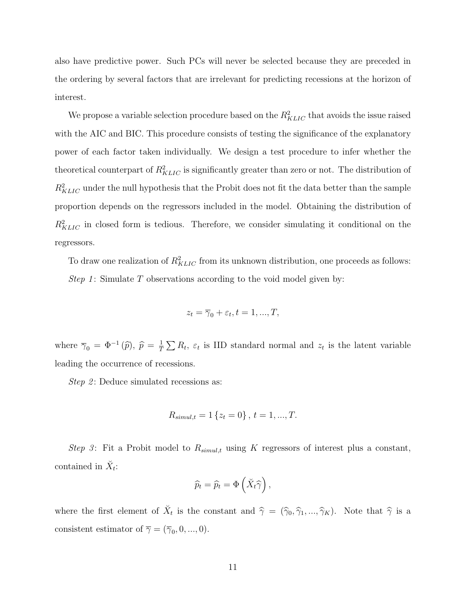also have predictive power. Such PCs will never be selected because they are preceded in the ordering by several factors that are irrelevant for predicting recessions at the horizon of interest.

We propose a variable selection procedure based on the  $R_{KLIC}^2$  that avoids the issue raised with the AIC and BIC. This procedure consists of testing the significance of the explanatory power of each factor taken individually. We design a test procedure to infer whether the theoretical counterpart of  $R_{KLIC}^2$  is significantly greater than zero or not. The distribution of  $R_{KLIC}^2$  under the null hypothesis that the Probit does not fit the data better than the sample proportion depends on the regressors included in the model. Obtaining the distribution of  $R_{KLIC}^2$  in closed form is tedious. Therefore, we consider simulating it conditional on the regressors.

To draw one realization of  $R_{KLIC}^2$  from its unknown distribution, one proceeds as follows: Step 1: Simulate T observations according to the void model given by:

$$
z_t = \overline{\gamma}_0 + \varepsilon_t, t = 1, ..., T,
$$

where  $\overline{\gamma}_0 = \Phi^{-1}(\widehat{p}), \ \widehat{p} = \frac{1}{T}$  $\frac{1}{T} \sum R_t$ ,  $\varepsilon_t$  is IID standard normal and  $z_t$  is the latent variable leading the occurrence of recessions.

*Step 2*: Deduce simulated recessions as:

$$
R_{simul,t} = 1\left\{z_t = 0\right\}, \, t = 1, ..., T.
$$

Step 3: Fit a Probit model to  $R_{simul,t}$  using K regressors of interest plus a constant, contained in  $\check{X}_t$ :

$$
\widehat{p}_t = \widehat{p}_t = \Phi\left(\breve{X}_t\widehat{\gamma}\right),
$$

where the first element of  $\check{X}_t$  is the constant and  $\hat{\gamma} = (\hat{\gamma}_0, \hat{\gamma}_1, ..., \hat{\gamma}_K)$ . Note that  $\hat{\gamma}$  is a consistent estimator of  $\overline{\gamma} = (\overline{\gamma}_0, 0, ..., 0)$ .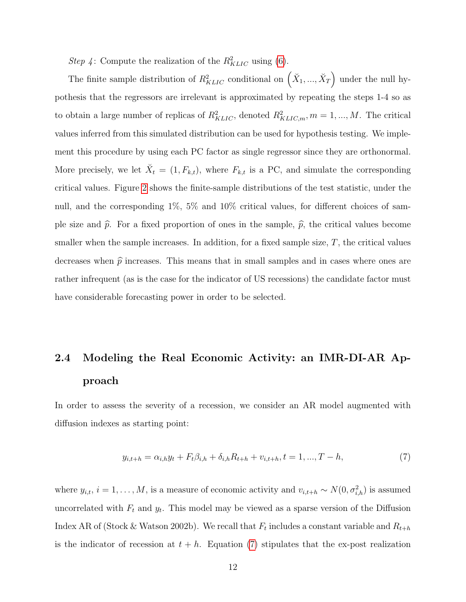Step 4: Compute the realization of the  $R_{KLIC}^2$  using [\(6\)](#page-9-0).

The finite sample distribution of  $R_{KLIC}^2$  conditional on  $(X_1, ..., X_T)$  under the null hypothesis that the regressors are irrelevant is approximated by repeating the steps 1-4 so as to obtain a large number of replicas of  $R_{KLIC}^2$ , denoted  $R_{KLIC,m}^2$ ,  $m = 1, ..., M$ . The critical values inferred from this simulated distribution can be used for hypothesis testing. We implement this procedure by using each PC factor as single regressor since they are orthonormal. More precisely, we let  $\check{X}_t = (1, F_{k,t})$ , where  $F_{k,t}$  is a PC, and simulate the corresponding critical values. Figure [2](#page-13-0) shows the finite-sample distributions of the test statistic, under the null, and the corresponding 1%, 5% and 10% critical values, for different choices of sample size and  $\hat{p}$ . For a fixed proportion of ones in the sample,  $\hat{p}$ , the critical values become smaller when the sample increases. In addition, for a fixed sample size,  $T$ , the critical values decreases when  $\hat{p}$  increases. This means that in small samples and in cases where ones are rather infrequent (as is the case for the indicator of US recessions) the candidate factor must have considerable forecasting power in order to be selected.

# 2.4 Modeling the Real Economic Activity: an IMR-DI-AR Approach

In order to assess the severity of a recession, we consider an AR model augmented with diffusion indexes as starting point:

<span id="page-12-0"></span>
$$
y_{i,t+h} = \alpha_{i,h} y_t + F_t \beta_{i,h} + \delta_{i,h} R_{t+h} + v_{i,t+h}, t = 1, ..., T - h,
$$
\n(7)

where  $y_{i,t}, i = 1, \ldots, M$ , is a measure of economic activity and  $v_{i,t+h} \sim N(0, \sigma_{i,h}^2)$  is assumed uncorrelated with  $F_t$  and  $y_t$ . This model may be viewed as a sparse version of the Diffusion Index AR of (Stock & Watson 2002b). We recall that  $F_t$  includes a constant variable and  $R_{t+h}$ is the indicator of recession at  $t + h$ . Equation [\(7\)](#page-12-0) stipulates that the ex-post realization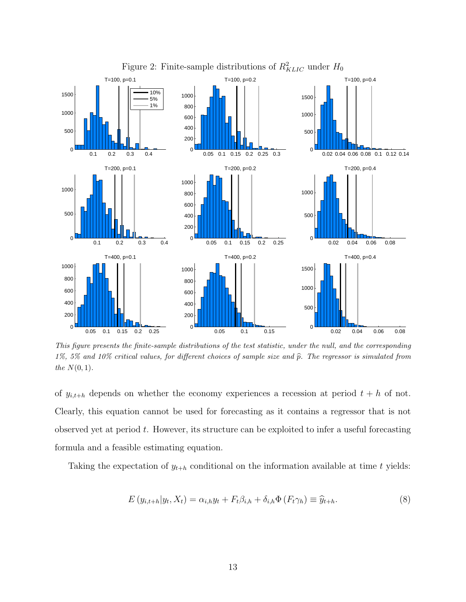

<span id="page-13-0"></span>Figure 2: Finite-sample distributions of  $R_{KLIC}^2$  under  $H_0$ 

This figure presents the finite-sample distributions of the test statistic, under the null, and the corresponding 1%, 5% and 10% critical values, for different choices of sample size and  $\hat{p}$ . The regressor is simulated from the  $N(0, 1)$ .

of  $y_{i,t+h}$  depends on whether the economy experiences a recession at period  $t+h$  of not. Clearly, this equation cannot be used for forecasting as it contains a regressor that is not observed yet at period  $t$ . However, its structure can be exploited to infer a useful forecasting formula and a feasible estimating equation.

Taking the expectation of  $y_{t+h}$  conditional on the information available at time t yields:

<span id="page-13-1"></span>
$$
E(y_{i,t+h}|y_t, X_t) = \alpha_{i,h}y_t + F_t\beta_{i,h} + \delta_{i,h}\Phi(F_t\gamma_h) \equiv \widehat{y}_{t+h}.
$$
\n(8)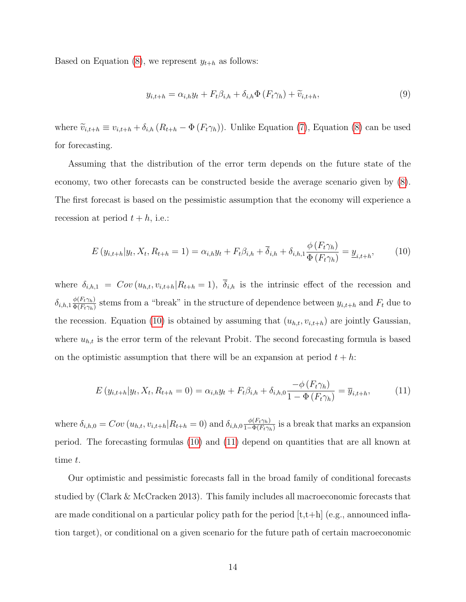Based on Equation [\(8\)](#page-13-1), we represent  $y_{t+h}$  as follows:

<span id="page-14-2"></span>
$$
y_{i,t+h} = \alpha_{i,h} y_t + F_t \beta_{i,h} + \delta_{i,h} \Phi \left( F_t \gamma_h \right) + \widetilde{v}_{i,t+h}, \tag{9}
$$

where  $\widetilde{v}_{i,t+h} \equiv v_{i,t+h} + \delta_{i,h} (R_{t+h} - \Phi(F_t \gamma_h))$ . Unlike Equation [\(7\)](#page-12-0), Equation [\(8\)](#page-13-1) can be used for forecasting.

Assuming that the distribution of the error term depends on the future state of the economy, two other forecasts can be constructed beside the average scenario given by [\(8\)](#page-13-1). The first forecast is based on the pessimistic assumption that the economy will experience a recession at period  $t + h$ , i.e.:

<span id="page-14-0"></span>
$$
E(y_{i,t+h}|y_t, X_t, R_{t+h} = 1) = \alpha_{i,h}y_t + F_t\beta_{i,h} + \overline{\delta}_{i,h} + \delta_{i,h,1}\frac{\phi(F_t\gamma_h)}{\Phi(F_t\gamma_h)} = \underline{y}_{i,t+h},
$$
(10)

where  $\delta_{i,h,1} = Cov(u_{h,t}, v_{i,t+h} | R_{t+h} = 1), \overline{\delta}_{i,h}$  is the intrinsic effect of the recession and  $\delta_{i,h,1} \frac{\phi(F_t \gamma_h)}{\Phi(F_t \gamma_h)}$  $\frac{\phi(F_t \gamma_h)}{\Phi(F_t \gamma_h)}$  stems from a "break" in the structure of dependence between  $y_{i,t+h}$  and  $F_t$  due to the recession. Equation [\(10\)](#page-14-0) is obtained by assuming that  $(u_{h,t}, v_{i,t+h})$  are jointly Gaussian, where  $u_{h,t}$  is the error term of the relevant Probit. The second forecasting formula is based on the optimistic assumption that there will be an expansion at period  $t + h$ :

<span id="page-14-1"></span>
$$
E(y_{i,t+h}|y_t, X_t, R_{t+h} = 0) = \alpha_{i,h}y_t + F_t\beta_{i,h} + \delta_{i,h,0}\frac{-\phi(F_t\gamma_h)}{1 - \Phi(F_t\gamma_h)} = \overline{y}_{i,t+h},
$$
(11)

where  $\delta_{i,h,0} = Cov(u_{h,t}, v_{i,t+h}|R_{t+h} = 0)$  and  $\delta_{i,h,0} \frac{\phi(F_t \gamma_h)}{1 - \Phi(F_t \gamma_h)}$  $\frac{\phi(F_i \gamma_h)}{1-\Phi(F_i \gamma_h)}$  is a break that marks an expansion period. The forecasting formulas [\(10\)](#page-14-0) and [\(11\)](#page-14-1) depend on quantities that are all known at time t.

Our optimistic and pessimistic forecasts fall in the broad family of conditional forecasts studied by (Clark & McCracken 2013). This family includes all macroeconomic forecasts that are made conditional on a particular policy path for the period  $[t, t+h]$  (e.g., announced inflation target), or conditional on a given scenario for the future path of certain macroeconomic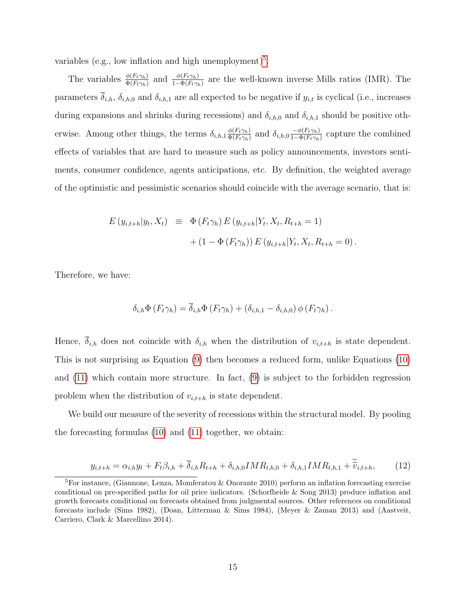variables (e.g., low inflation and high unemployment)<sup>[5](#page-15-0)</sup>.

The variables  $\frac{\phi(F_t \gamma_h)}{\Phi(F_t \gamma_h)}$  and  $\frac{\phi(F_t \gamma_h)}{1-\Phi(F_t \gamma_h)}$  are the well-known inverse Mills ratios (IMR). The parameters  $\overline{\delta}_{i,h}$ ,  $\delta_{i,h,0}$  and  $\delta_{i,h,1}$  are all expected to be negative if  $y_{i,t}$  is cyclical (i.e., increases during expansions and shrinks during recessions) and  $\delta_{i,h,0}$  and  $\delta_{i,h,1}$  should be positive otherwise. Among other things, the terms  $\delta_{i,h,1} \frac{\phi(F_t \gamma_h)}{\Phi(F_t \gamma_h)}$  $\frac{\phi(F_t \gamma_h)}{\Phi(F_t \gamma_h)}$  and  $\delta_{i,h,0} \frac{-\phi(F_t \gamma_h)}{1-\Phi(F_t \gamma_h)}$  $\frac{-\phi(F_t\gamma_h)}{1-\Phi(F_t\gamma_h)}$  capture the combined effects of variables that are hard to measure such as policy announcements, investors sentiments, consumer confidence, agents anticipations, etc. By definition, the weighted average of the optimistic and pessimistic scenarios should coincide with the average scenario, that is:

$$
E(y_{i,t+h}|y_t, X_t) \equiv \Phi(F_t \gamma_h) E(y_{i,t+h}|Y_t, X_t, R_{t+h} = 1) + (1 - \Phi(F_t \gamma_h)) E(y_{i,t+h}|Y_t, X_t, R_{t+h} = 0).
$$

Therefore, we have:

$$
\delta_{i,h} \Phi(F_t \gamma_h) = \overline{\delta}_{i,h} \Phi(F_t \gamma_h) + (\delta_{i,h,1} - \delta_{i,h,0}) \phi(F_t \gamma_h).
$$

Hence,  $\delta_{i,h}$  does not coincide with  $\delta_{i,h}$  when the distribution of  $v_{i,t+h}$  is state dependent. This is not surprising as Equation [\(9\)](#page-14-2) then becomes a reduced form, unlike Equations [\(10\)](#page-14-0) and [\(11\)](#page-14-1) which contain more structure. In fact, [\(9\)](#page-14-2) is subject to the forbidden regression problem when the distribution of  $v_{i,t+h}$  is state dependent.

We build our measure of the severity of recessions within the structural model. By pooling the forecasting formulas [\(10\)](#page-14-0) and [\(11\)](#page-14-1) together, we obtain:

<span id="page-15-1"></span>
$$
y_{i,t+h} = \alpha_{i,h} y_t + F_t \beta_{i,h} + \overline{\delta}_{i,h} R_{t+h} + \delta_{i,h,0} I M R_{t,h,0} + \delta_{i,h,1} I M R_{t,h,1} + \widetilde{\widetilde{v}}_{i,t+h},\tag{12}
$$

<span id="page-15-0"></span><sup>5</sup>For instance, (Giannone, Lenza, Momferatou & Onorante 2010) perform an inflation forecasting exercise conditional on pre-specified paths for oil price indicators. (Schorfheide & Song 2013) produce inflation and growth forecasts conditional on forecasts obtained from judgmental sources. Other references on conditional forecasts include (Sims 1982), (Doan, Litterman & Sims 1984), (Meyer & Zaman 2013) and (Aastveit, Carriero, Clark & Marcellino 2014).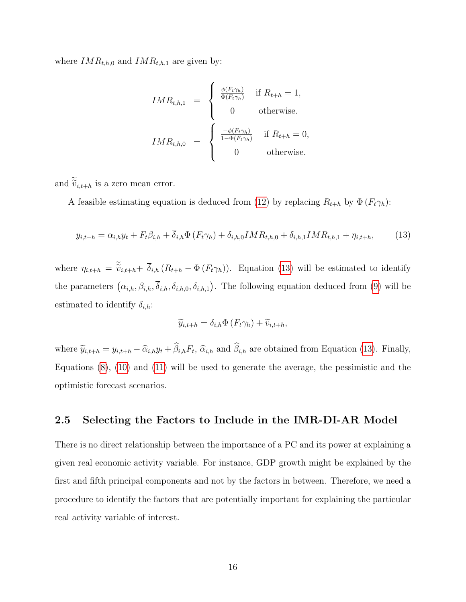where  $IMR_{t,h,0}$  and  $IMR_{t,h,1}$  are given by:

$$
IMR_{t,h,1} = \begin{cases} \frac{\phi(F_t \gamma_h)}{\Phi(F_t \gamma_h)} & \text{if } R_{t+h} = 1, \\ 0 & \text{otherwise.} \end{cases}
$$
  

$$
IMR_{t,h,0} = \begin{cases} \frac{-\phi(F_t \gamma_h)}{1 - \Phi(F_t \gamma_h)} & \text{if } R_{t+h} = 0, \\ 0 & \text{otherwise.} \end{cases}
$$

and  $\widetilde{\widetilde v}_{i,t+h}$  is a zero mean error.

A feasible estimating equation is deduced from [\(12\)](#page-15-1) by replacing  $R_{t+h}$  by  $\Phi(F_t \gamma_h)$ :

<span id="page-16-0"></span>
$$
y_{i,t+h} = \alpha_{i,h} y_t + F_t \beta_{i,h} + \overline{\delta}_{i,h} \Phi(F_t \gamma_h) + \delta_{i,h,0} IMR_{t,h,0} + \delta_{i,h,1} IMR_{t,h,1} + \eta_{i,t+h},
$$
(13)

where  $\eta_{i,t+h} = \tilde{\tilde{v}}_{i,t+h} + \overline{\delta}_{i,h} (R_{t+h} - \Phi(F_t \gamma_h))$ . Equation [\(13\)](#page-16-0) will be estimated to identify the parameters  $(\alpha_{i,h}, \beta_{i,h}, \overline{\delta}_{i,h}, \delta_{i,h,0}, \delta_{i,h,1})$ . The following equation deduced from [\(9\)](#page-14-2) will be estimated to identify  $\delta_{i,h}$ :

$$
\widetilde{y}_{i,t+h} = \delta_{i,h} \Phi \left( F_t \gamma_h \right) + \widetilde{v}_{i,t+h},
$$

where  $\tilde{y}_{i,t+h} = y_{i,t+h} - \hat{\alpha}_{i,h}y_t + \beta_{i,h}F_t$ ,  $\hat{\alpha}_{i,h}$  and  $\beta_{i,h}$  are obtained from Equation [\(13\)](#page-16-0). Finally, Equations [\(8\)](#page-13-1), [\(10\)](#page-14-0) and [\(11\)](#page-14-1) will be used to generate the average, the pessimistic and the optimistic forecast scenarios.

## 2.5 Selecting the Factors to Include in the IMR-DI-AR Model

There is no direct relationship between the importance of a PC and its power at explaining a given real economic activity variable. For instance, GDP growth might be explained by the first and fifth principal components and not by the factors in between. Therefore, we need a procedure to identify the factors that are potentially important for explaining the particular real activity variable of interest.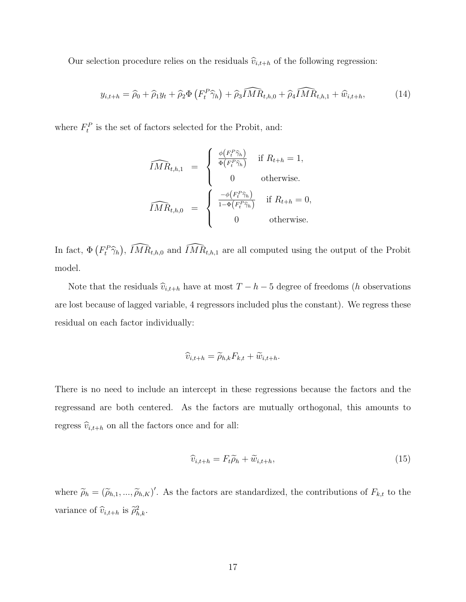Our selection procedure relies on the residuals  $\hat{v}_{i,t+h}$  of the following regression:

$$
y_{i,t+h} = \widehat{\rho}_0 + \widehat{\rho}_1 y_t + \widehat{\rho}_2 \Phi \left( F_t^P \widehat{\gamma}_h \right) + \widehat{\rho}_3 \widehat{IMR}_{t,h,0} + \widehat{\rho}_4 \widehat{IMR}_{t,h,1} + \widehat{w}_{i,t+h}, \tag{14}
$$

where  $F_t^P$  is the set of factors selected for the Probit, and:

$$
\widehat{IMR}_{t,h,1} = \begin{cases}\n\frac{\phi(F_t^P \widehat{\gamma}_h)}{\Phi(F_t^P \widehat{\gamma}_h)} & \text{if } R_{t+h} = 1, \\
0 & \text{otherwise.} \\
\widehat{IMR}_{t,h,0} = \begin{cases}\n\frac{-\phi(F_t^P \widehat{\gamma}_h)}{1 - \Phi(F_t^P \widehat{\gamma}_h)} & \text{if } R_{t+h} = 0, \\
0 & \text{otherwise.} \n\end{cases}
$$

In fact,  $\Phi(F_t^P \hat{\gamma}_h)$ ,  $\widehat{IMR}_{t,h,0}$  and  $\widehat{IMR}_{t,h,1}$  are all computed using the output of the Probit model.

Note that the residuals  $\hat{v}_{i,t+h}$  have at most  $T - h - 5$  degree of freedoms (h observations are lost because of lagged variable, 4 regressors included plus the constant). We regress these residual on each factor individually:

$$
\widehat{v}_{i,t+h} = \widetilde{\rho}_{h,k} F_{k,t} + \widetilde{w}_{i,t+h}.
$$

There is no need to include an intercept in these regressions because the factors and the regressand are both centered. As the factors are mutually orthogonal, this amounts to regress  $\widehat{v}_{i,t+h}$  on all the factors once and for all:

$$
\widehat{v}_{i,t+h} = F_t \widetilde{\rho}_h + \widetilde{w}_{i,t+h},\tag{15}
$$

where  $\tilde{\rho}_h = (\tilde{\rho}_{h,1},...,\tilde{\rho}_{h,K})'$ . As the factors are standardized, the contributions of  $F_{k,t}$  to the variance of  $\widehat{v}_{i,t+h}$  is  $\widetilde{\rho}_{h,k}^2$ .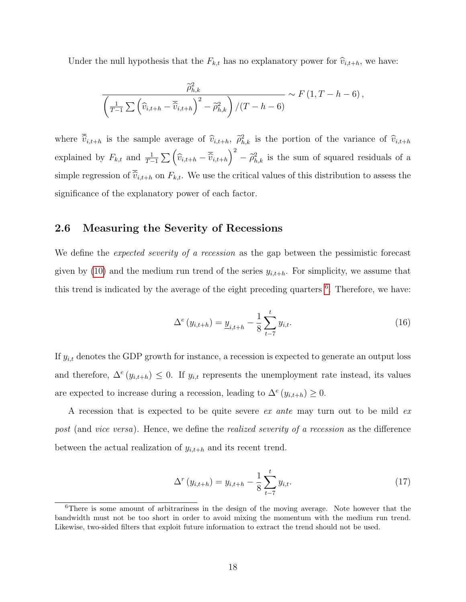Under the null hypothesis that the  $F_{k,t}$  has no explanatory power for  $\widehat{v}_{i,t+h}$ , we have:

$$
\frac{\widehat{\rho}_{h,k}^2}{\left(\frac{1}{T-1}\sum\left(\widehat{v}_{i,t+h}-\overline{\widehat{v}}_{i,t+h}\right)^2-\widetilde{\rho}_{h,k}^2\right)/(T-h-6)} \sim F\left(1,T-h-6\right),
$$

where  $\overline{\hat{v}}_{i,t+h}$  is the sample average of  $\hat{v}_{i,t+h}$ ,  $\hat{\rho}_{h,k}^2$  is the portion of the variance of  $\hat{v}_{i,t+h}$ explained by  $F_{k,t}$  and  $\frac{1}{T-1}\sum_{i,t+h} \left(\widehat{v}_{i,t+h} - \overline{\widehat{v}}_{i,t+h}\right)^2 - \widetilde{\rho}_{h,k}^2$  is the sum of squared residuals of a simple regression of  $\overline{\hat{v}}_{i,t+h}$  on  $F_{k,t}$ . We use the critical values of this distribution to assess the significance of the explanatory power of each factor.

#### 2.6 Measuring the Severity of Recessions

We define the *expected severity of a recession* as the gap between the pessimistic forecast given by [\(10\)](#page-14-0) and the medium run trend of the series  $y_{i,t+h}$ . For simplicity, we assume that this trend is indicated by the average of the eight preceding quarters <sup>[6](#page-18-0)</sup>. Therefore, we have:

<span id="page-18-1"></span>
$$
\Delta^{e}(y_{i,t+h}) = \underline{y}_{i,t+h} - \frac{1}{8} \sum_{t=7}^{t} y_{i,t}.
$$
\n(16)

If  $y_{i,t}$  denotes the GDP growth for instance, a recession is expected to generate an output loss and therefore,  $\Delta^e(y_{i,t+h}) \leq 0$ . If  $y_{i,t}$  represents the unemployment rate instead, its values are expected to increase during a recession, leading to  $\Delta^e(y_{i,t+h}) \geq 0$ .

A recession that is expected to be quite severe ex ante may turn out to be mild ex post (and vice versa). Hence, we define the *realized severity of a recession* as the difference between the actual realization of  $y_{i,t+h}$  and its recent trend.

<span id="page-18-2"></span>
$$
\Delta^{r}(y_{i,t+h}) = y_{i,t+h} - \frac{1}{8} \sum_{t=7}^{t} y_{i,t}.
$$
\n(17)

<span id="page-18-0"></span><sup>&</sup>lt;sup>6</sup>There is some amount of arbitrariness in the design of the moving average. Note however that the bandwidth must not be too short in order to avoid mixing the momentum with the medium run trend. Likewise, two-sided filters that exploit future information to extract the trend should not be used.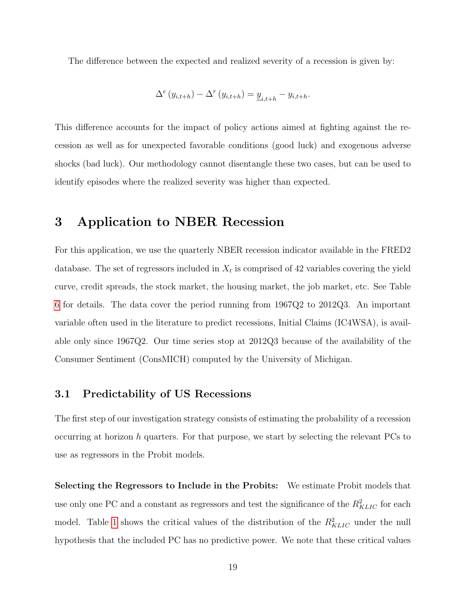The difference between the expected and realized severity of a recession is given by:

$$
\Delta^{e}(y_{i,t+h}) - \Delta^{r}(y_{i,t+h}) = \underline{y}_{i,t+h} - y_{i,t+h}.
$$

This difference accounts for the impact of policy actions aimed at fighting against the recession as well as for unexpected favorable conditions (good luck) and exogenous adverse shocks (bad luck). Our methodology cannot disentangle these two cases, but can be used to identify episodes where the realized severity was higher than expected.

# 3 Application to NBER Recession

For this application, we use the quarterly NBER recession indicator available in the FRED2 database. The set of regressors included in  $X_t$  is comprised of 42 variables covering the yield curve, credit spreads, the stock market, the housing market, the job market, etc. See Table [6](#page-38-0) for details. The data cover the period running from 1967Q2 to 2012Q3. An important variable often used in the literature to predict recessions, Initial Claims (IC4WSA), is available only since 1967Q2. Our time series stop at 2012Q3 because of the availability of the Consumer Sentiment (ConsMICH) computed by the University of Michigan.

## 3.1 Predictability of US Recessions

The first step of our investigation strategy consists of estimating the probability of a recession occurring at horizon h quarters. For that purpose, we start by selecting the relevant  $PCs$  to use as regressors in the Probit models.

Selecting the Regressors to Include in the Probits: We estimate Probit models that use only one PC and a constant as regressors and test the significance of the  $R_{KLLC}^2$  for each model. Table [1](#page-20-0) shows the critical values of the distribution of the  $R_{KLIC}^2$  under the null hypothesis that the included PC has no predictive power. We note that these critical values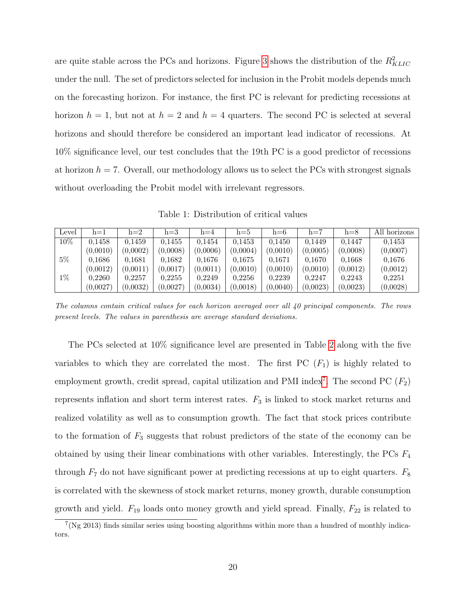are quite stable across the PCs and horizons. Figure [3](#page-21-0) shows the distribution of the  $R_{KLIC}^2$ under the null. The set of predictors selected for inclusion in the Probit models depends much on the forecasting horizon. For instance, the first PC is relevant for predicting recessions at horizon  $h = 1$ , but not at  $h = 2$  and  $h = 4$  quarters. The second PC is selected at several horizons and should therefore be considered an important lead indicator of recessions. At 10% significance level, our test concludes that the 19th PC is a good predictor of recessions at horizon  $h = 7$ . Overall, our methodology allows us to select the PCs with strongest signals without overloading the Probit model with irrelevant regressors.

<span id="page-20-0"></span>Table 1: Distribution of critical values

| Level  | $h=1$    | $h=2$    | $h=3$    | $h=4$    | $h=5$    | $h=6$    | $h=7$    | $h=8$    | All horizons |
|--------|----------|----------|----------|----------|----------|----------|----------|----------|--------------|
| $10\%$ | 0.1458   | 0.1459   | 0.1455   | 0,1454   | 0.1453   | 0.1450   | 0.1449   | 0.1447   | 0.1453       |
|        | (0,0010) | (0,0002) | (0,0008) | (0,0006) | (0,0004) | (0,0010) | (0,0005) | (0.0008) | (0,0007)     |
| $5\%$  | 0.1686   | 0.1681   | 0.1682   | 0.1676   | 0.1675   | 0.1671   | 0.1670   | 0.1668   | 0.1676       |
|        | (0,0012) | (0,0011) | (0.0017) | (0.0011) | (0,0010) | (0,0010) | (0,0010) | (0.0012) | (0,0012)     |
| $1\%$  | 0.2260   | 0.2257   | 0,2255   | 0.2249   | 0.2256   | 0,2239   | 0.2247   | 0,2243   | 0.2251       |
|        | (0,0027) | (0,0032) | (0.0027) | (0.0034) | (0,0018) | (0,0040) | (0,0023) | (0.0023) | (0,0028)     |

The columns contain critical values for each horizon averaged over all 40 principal components. The rows present levels. The values in parenthesis are average standard deviations.

The PCs selected at 10% significance level are presented in Table [2](#page-22-0) along with the five variables to which they are correlated the most. The first PC  $(F_1)$  is highly related to employment growth, credit spread, capital utilization and PMI index<sup>[7](#page-20-1)</sup>. The second PC  $(F_2)$ represents inflation and short term interest rates.  $F_3$  is linked to stock market returns and realized volatility as well as to consumption growth. The fact that stock prices contribute to the formation of  $F_3$  suggests that robust predictors of the state of the economy can be obtained by using their linear combinations with other variables. Interestingly, the PCs  $F_4$ through  $F_7$  do not have significant power at predicting recessions at up to eight quarters.  $F_8$ is correlated with the skewness of stock market returns, money growth, durable consumption growth and yield.  $F_{19}$  loads onto money growth and yield spread. Finally,  $F_{22}$  is related to

<span id="page-20-1"></span> $7$ (Ng 2013) finds similar series using boosting algorithms within more than a hundred of monthly indicators.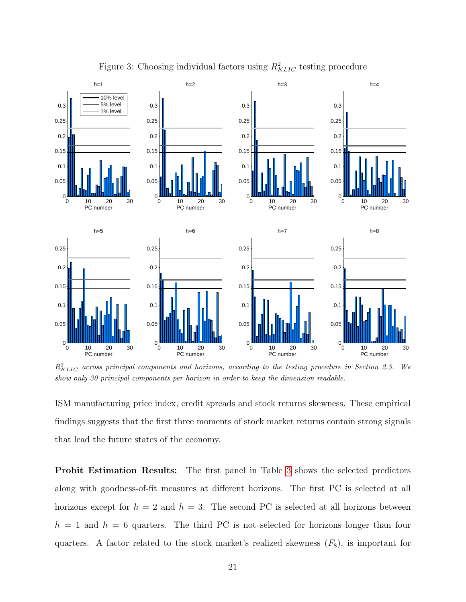

<span id="page-21-0"></span>Figure 3: Choosing individual factors using  $R_{KLIC}^2$  testing procedure

 $R_{KLLC}^2$  across principal components and horizons, according to the testing procedure in Section 2.3. We show only 30 principal components per horizon in order to keep the dimension readable.

ISM manufacturing price index, credit spreads and stock returns skewness. These empirical findings suggests that the first three moments of stock market returns contain strong signals that lead the future states of the economy.

Probit Estimation Results: The first panel in Table [3](#page-23-0) shows the selected predictors along with goodness-of-fit measures at different horizons. The first PC is selected at all horizons except for  $h = 2$  and  $h = 3$ . The second PC is selected at all horizons between  $h = 1$  and  $h = 6$  quarters. The third PC is not selected for horizons longer than four quarters. A factor related to the stock market's realized skewness  $(F_8)$ , is important for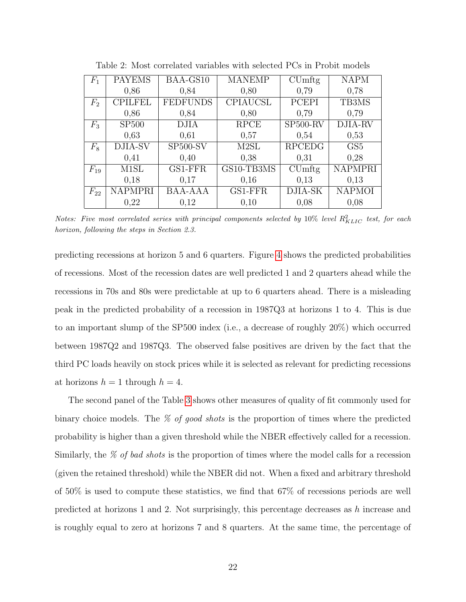| $F_1$          | <b>PAYEMS</b>  | BAA-GS10              | <b>MANEMP</b>     | $\mathrm{CUmftg}$     | <b>NAPM</b>     |
|----------------|----------------|-----------------------|-------------------|-----------------------|-----------------|
|                |                |                       |                   |                       |                 |
|                | 0,86           | 0,84                  | 0,80              | 0,79                  | 0,78            |
| F <sub>2</sub> | <b>CPILFEL</b> | <b>FEDFUNDS</b>       | <b>CPIAUCSL</b>   | <b>PCEPI</b>          | TB3MS           |
|                | 0,86           | 0,84                  | 0,80              | 0,79                  | 0,79            |
| $F_3$          | <b>SP500</b>   | <b>DJIA</b>           | <b>RPCE</b>       | SP <sub>500</sub> -RV | DJIA-RV         |
|                | 0,63           | 0,61                  | 0,57              | 0,54                  | 0,53            |
| $F_8$          | DJIA-SV        | SP <sub>500</sub> -SV | M <sub>2</sub> SL | <b>RPCEDG</b>         | GS <sub>5</sub> |
|                | 0.41           | 0,40                  | 0,38              | 0,31                  | 0,28            |
| $F_{19}$       | M1SL           | GS1-FFR               | GS10-TB3MS        | CUmftg                | <b>NAPMPRI</b>  |
|                | 0,18           | 0,17                  | 0,16              | 0,13                  | 0,13            |
| $F_{22}$       | <b>NAPMPRI</b> | <b>BAA-AAA</b>        | GS1-FFR           | DJIA-SK               | <b>NAPMOI</b>   |
|                | 0,22           | 0,12                  | 0,10              | 0,08                  | 0,08            |

<span id="page-22-0"></span>Table 2: Most correlated variables with selected PCs in Probit models

Notes: Five most correlated series with principal components selected by  $10\%$  level  $R_{KLLC}^2$  test, for each horizon, following the steps in Section 2.3.

predicting recessions at horizon 5 and 6 quarters. Figure [4](#page-24-0) shows the predicted probabilities of recessions. Most of the recession dates are well predicted 1 and 2 quarters ahead while the recessions in 70s and 80s were predictable at up to 6 quarters ahead. There is a misleading peak in the predicted probability of a recession in 1987Q3 at horizons 1 to 4. This is due to an important slump of the SP500 index (i.e., a decrease of roughly 20%) which occurred between 1987Q2 and 1987Q3. The observed false positives are driven by the fact that the third PC loads heavily on stock prices while it is selected as relevant for predicting recessions at horizons  $h = 1$  through  $h = 4$ .

The second panel of the Table [3](#page-23-0) shows other measures of quality of fit commonly used for binary choice models. The  $\%$  of good shots is the proportion of times where the predicted probability is higher than a given threshold while the NBER effectively called for a recession. Similarly, the % of bad shots is the proportion of times where the model calls for a recession (given the retained threshold) while the NBER did not. When a fixed and arbitrary threshold of 50% is used to compute these statistics, we find that 67% of recessions periods are well predicted at horizons 1 and 2. Not surprisingly, this percentage decreases as h increase and is roughly equal to zero at horizons 7 and 8 quarters. At the same time, the percentage of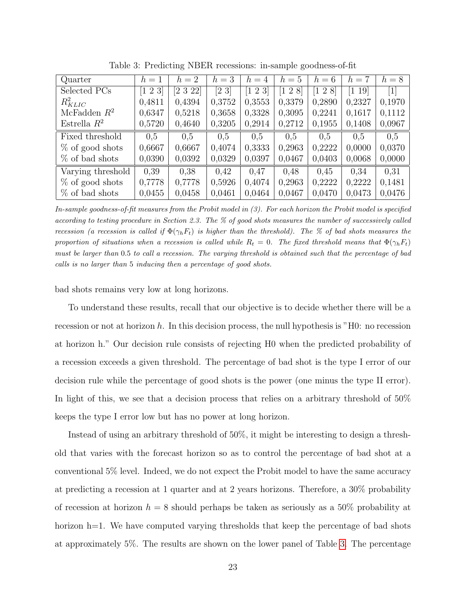| Quarter            | $h=1$                  | $h=2$        | $h=3$                    | $h=4$                  | $h=5$     | $h=6$                  | $=7$<br>$\hbar$      | $h=8$            |
|--------------------|------------------------|--------------|--------------------------|------------------------|-----------|------------------------|----------------------|------------------|
| Selected PCs       | $\left[1\;2\;3\right]$ | $[2\;3\;22]$ | $\left[2\right.3\right]$ | $\left[1\;2\;3\right]$ | $1\;2\;8$ | $\left[1\;2\;8\right]$ | $\left[1\;19\right]$ | $\left  \right $ |
| $R_{KLLIC}^2$      | 0,4811                 | 0,4394       | 0,3752                   | 0.3553                 | 0,3379    | 0,2890                 | 0,2327               | 0,1970           |
| McFadden $R^2$     | 0,6347                 | 0,5218       | 0,3658                   | 0,3328                 | 0,3095    | 0,2241                 | 0,1617               | 0,1112           |
| Estrella $R^2$     | 0,5720                 | 0,4640       | 0,3205                   | 0,2914                 | 0,2712    | 0,1955                 | 0,1408               | 0,0967           |
| Fixed threshold    | 0.5                    | 0,5          | 0.5                      | 0.5                    | 0.5       | 0.5                    | 0.5                  | 0.5              |
| $%$ of good shots  | 0,6667                 | 0,6667       | 0,4074                   | 0,3333                 | 0,2963    | 0,2222                 | 0,0000               | 0,0370           |
| % of bad shots     | 0,0390                 | 0,0392       | 0,0329                   | 0,0397                 | 0,0467    | 0,0403                 | 0,0068               | 0,0000           |
| Varying threshold  | 0.39                   | 0,38         | 0.42                     | 0.47                   | 0.48      | 0,45                   | 0,34                 | 0,31             |
| $\%$ of good shots | 0,7778                 | 0,7778       | 0,5926                   | 0,4074                 | 0,2963    | 0,2222                 | 0,2222               | 0,1481           |
| % of bad shots     | 0,0455                 | 0,0458       | 0,0461                   | 0,0464                 | 0,0467    | 0.0470                 | 0.0473               | 0.0476           |

<span id="page-23-0"></span>Table 3: Predicting NBER recessions: in-sample goodness-of-fit

In-sample goodness-of-fit measures from the Probit model in (3). For each horizon the Probit model is specified according to testing procedure in Section 2.3. The % of good shots measures the number of successively called recession (a recession is called if  $\Phi(\gamma_h F_t)$  is higher than the threshold). The % of bad shots measures the proportion of situations when a recession is called while  $R_t = 0$ . The fixed threshold means that  $\Phi(\gamma_h F_t)$ must be larger than 0.5 to call a recession. The varying threshold is obtained such that the percentage of bad calls is no larger than 5 inducing then a percentage of good shots.

bad shots remains very low at long horizons.

To understand these results, recall that our objective is to decide whether there will be a recession or not at horizon h. In this decision process, the null hypothesis is "H0: no recession at horizon h." Our decision rule consists of rejecting H0 when the predicted probability of a recession exceeds a given threshold. The percentage of bad shot is the type I error of our decision rule while the percentage of good shots is the power (one minus the type II error). In light of this, we see that a decision process that relies on a arbitrary threshold of 50% keeps the type I error low but has no power at long horizon.

Instead of using an arbitrary threshold of 50%, it might be interesting to design a threshold that varies with the forecast horizon so as to control the percentage of bad shot at a conventional 5% level. Indeed, we do not expect the Probit model to have the same accuracy at predicting a recession at 1 quarter and at 2 years horizons. Therefore, a 30% probability of recession at horizon  $h = 8$  should perhaps be taken as seriously as a 50% probability at horizon h=1. We have computed varying thresholds that keep the percentage of bad shots at approximately 5%. The results are shown on the lower panel of Table [3.](#page-23-0) The percentage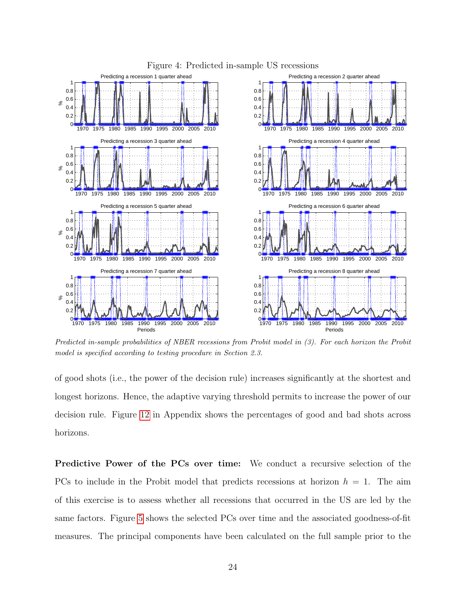

#### <span id="page-24-0"></span>Figure 4: Predicted in-sample US recessions

Predicted in-sample probabilities of NBER recessions from Probit model in (3). For each horizon the Probit model is specified according to testing procedure in Section 2.3.

of good shots (i.e., the power of the decision rule) increases significantly at the shortest and longest horizons. Hence, the adaptive varying threshold permits to increase the power of our decision rule. Figure [12](#page-44-0) in Appendix shows the percentages of good and bad shots across horizons.

Predictive Power of the PCs over time: We conduct a recursive selection of the PCs to include in the Probit model that predicts recessions at horizon  $h = 1$ . The aim of this exercise is to assess whether all recessions that occurred in the US are led by the same factors. Figure [5](#page-25-0) shows the selected PCs over time and the associated goodness-of-fit measures. The principal components have been calculated on the full sample prior to the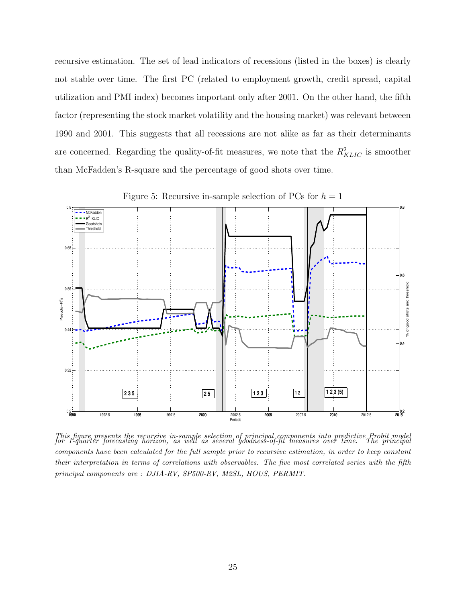recursive estimation. The set of lead indicators of recessions (listed in the boxes) is clearly not stable over time. The first PC (related to employment growth, credit spread, capital utilization and PMI index) becomes important only after 2001. On the other hand, the fifth factor (representing the stock market volatility and the housing market) was relevant between 1990 and 2001. This suggests that all recessions are not alike as far as their determinants are concerned. Regarding the quality-of-fit measures, we note that the  $R_{KLIC}^2$  is smoother than McFadden's R-square and the percentage of good shots over time.



<span id="page-25-0"></span>Figure 5: Recursive in-sample selection of PCs for  $h = 1$ 

This figure presents the recursive in-sample selection of principal components into predictive Probit model for 1-quarter forecasting horizon, as well as several goodness-of-fit measures over time. The principal components have been calculated for the full sample prior to recursive estimation, in order to keep constant their interpretation in terms of correlations with observables. The five most correlated series with the fifth principal components are : DJIA-RV, SP500-RV, M2SL, HOUS, PERMIT.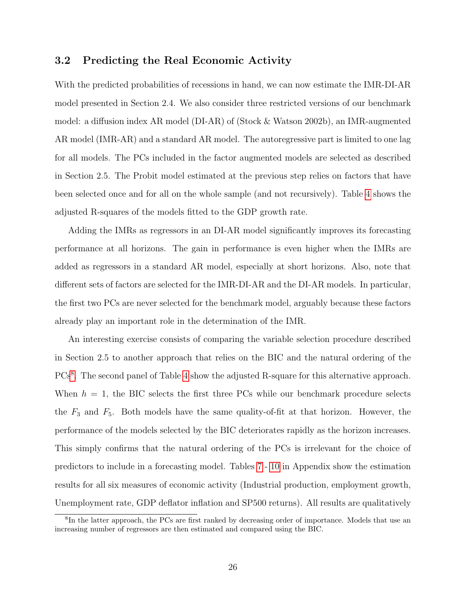## 3.2 Predicting the Real Economic Activity

With the predicted probabilities of recessions in hand, we can now estimate the IMR-DI-AR model presented in Section 2.4. We also consider three restricted versions of our benchmark model: a diffusion index AR model (DI-AR) of (Stock & Watson 2002b), an IMR-augmented AR model (IMR-AR) and a standard AR model. The autoregressive part is limited to one lag for all models. The PCs included in the factor augmented models are selected as described in Section 2.5. The Probit model estimated at the previous step relies on factors that have been selected once and for all on the whole sample (and not recursively). Table [4](#page-27-0) shows the adjusted R-squares of the models fitted to the GDP growth rate.

Adding the IMRs as regressors in an DI-AR model significantly improves its forecasting performance at all horizons. The gain in performance is even higher when the IMRs are added as regressors in a standard AR model, especially at short horizons. Also, note that different sets of factors are selected for the IMR-DI-AR and the DI-AR models. In particular, the first two PCs are never selected for the benchmark model, arguably because these factors already play an important role in the determination of the IMR.

An interesting exercise consists of comparing the variable selection procedure described in Section 2.5 to another approach that relies on the BIC and the natural ordering of the PCs<sup>[8](#page-26-0)</sup>. The second panel of Table [4](#page-27-0) show the adjusted R-square for this alternative approach. When  $h = 1$ , the BIC selects the first three PCs while our benchmark procedure selects the  $F_3$  and  $F_5$ . Both models have the same quality-of-fit at that horizon. However, the performance of the models selected by the BIC deteriorates rapidly as the horizon increases. This simply confirms that the natural ordering of the PCs is irrelevant for the choice of predictors to include in a forecasting model. Tables [7](#page-39-0) - [10](#page-42-0) in Appendix show the estimation results for all six measures of economic activity (Industrial production, employment growth, Unemployment rate, GDP deflator inflation and SP500 returns). All results are qualitatively

<span id="page-26-0"></span><sup>&</sup>lt;sup>8</sup>In the latter approach, the PCs are first ranked by decreasing order of importance. Models that use an increasing number of regressors are then estimated and compared using the BIC.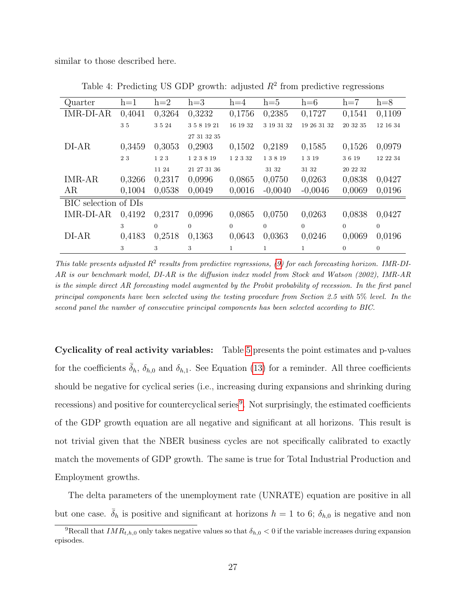similar to those described here.

| Quarter              | $h=1$  | $h=2$    | $h=3$       | $h=4$     | $h=5$      | $h=6$       | $h=7$          | $h=8$    |
|----------------------|--------|----------|-------------|-----------|------------|-------------|----------------|----------|
| <b>IMR-DI-AR</b>     | 0,4041 | 0,3264   | 0,3232      | 0,1756    | 0,2385     | 0,1727      | 0,1541         | 0,1109   |
|                      | 35     | 3 5 24   | 3 5 8 19 21 | 16 19 32  | 3 19 31 32 | 19 26 31 32 | 20 32 35       | 12 16 34 |
|                      |        |          | 27 31 32 35 |           |            |             |                |          |
| $DI-AR$              | 0,3459 | 0,3053   | 0,2903      | 0,1502    | 0,2189     | 0,1585      | 0,1526         | 0,0979   |
|                      | 23     | 123      | 123819      | 1 2 3 3 2 | 13819      | 1319        | 3619           | 12 22 34 |
|                      |        | 11 24    | 21 27 31 36 |           | 31 32      | 31 32       | 20 22 32       |          |
| IMR-AR               | 0,3266 | 0,2317   | 0,0996      | 0,0865    | 0.0750     | 0,0263      | 0,0838         | 0,0427   |
| AR                   | 0,1004 | 0,0538   | 0,0049      | 0,0016    | $-0,0040$  | $-0,0046$   | 0,0069         | 0,0196   |
| BIC selection of DIs |        |          |             |           |            |             |                |          |
| IMR-DI-AR            | 0,4192 | 0.2317   | 0,0996      | 0,0865    | 0,0750     | 0,0263      | 0,0838         | 0,0427   |
|                      | 3      | $\Omega$ | $\Omega$    | $\Omega$  | $\Omega$   | $\Omega$    | $\Omega$       | $\Omega$ |
| $DI-AR$              | 0,4183 | 0,2518   | 0,1363      | 0,0643    | 0,0363     | 0,0246      | 0,0069         | 0,0196   |
|                      | 3      | 3        | 3           |           | 1          |             | $\overline{0}$ | $\Omega$ |

<span id="page-27-0"></span>Table 4: Predicting US GDP growth: adjusted  $R^2$  from predictive regressions

This table presents adjusted  $R^2$  results from predictive regressions, [\(9\)](#page-14-2) for each forecasting horizon. IMR-DI-AR is our benchmark model, DI-AR is the diffusion index model from Stock and Watson (2002), IMR-AR is the simple direct AR forecasting model augmented by the Probit probability of recession. In the first panel principal components have been selected using the testing procedure from Section 2.5 with 5% level. In the second panel the number of consecutive principal components has been selected according to BIC.

Cyclicality of real activity variables: Table [5](#page-29-0) presents the point estimates and p-values for the coefficients  $\bar{\delta}_h$ ,  $\delta_{h,0}$  and  $\delta_{h,1}$ . See Equation [\(13\)](#page-16-0) for a reminder. All three coefficients should be negative for cyclical series (i.e., increasing during expansions and shrinking during recessions) and positive for countercyclical series<sup>[9](#page-27-1)</sup>. Not surprisingly, the estimated coefficients of the GDP growth equation are all negative and significant at all horizons. This result is not trivial given that the NBER business cycles are not specifically calibrated to exactly match the movements of GDP growth. The same is true for Total Industrial Production and Employment growths.

The delta parameters of the unemployment rate (UNRATE) equation are positive in all but one case.  $\bar{\delta}_h$  is positive and significant at horizons  $h = 1$  to 6;  $\delta_{h,0}$  is negative and non

<span id="page-27-1"></span><sup>&</sup>lt;sup>9</sup>Recall that  $IMR_{t,h,0}$  only takes negative values so that  $\delta_{h,0} < 0$  if the variable increases during expansion episodes.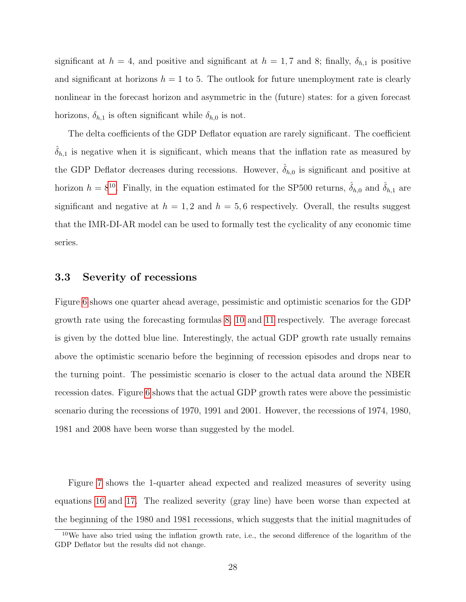significant at  $h = 4$ , and positive and significant at  $h = 1, 7$  and 8; finally,  $\delta_{h,1}$  is positive and significant at horizons  $h = 1$  to 5. The outlook for future unemployment rate is clearly nonlinear in the forecast horizon and asymmetric in the (future) states: for a given forecast horizons,  $\delta_{h,1}$  is often significant while  $\delta_{h,0}$  is not.

The delta coefficients of the GDP Deflator equation are rarely significant. The coefficient  $\delta_{h,1}$  is negative when it is significant, which means that the inflation rate as measured by the GDP Deflator decreases during recessions. However,  $\hat{\delta}_{h,0}$  is significant and positive at horizon  $h = 8^{10}$  $h = 8^{10}$  $h = 8^{10}$ . Finally, in the equation estimated for the SP500 returns,  $\hat{\delta}_{h,0}$  and  $\hat{\delta}_{h,1}$  are significant and negative at  $h = 1, 2$  and  $h = 5, 6$  respectively. Overall, the results suggest that the IMR-DI-AR model can be used to formally test the cyclicality of any economic time series.

## 3.3 Severity of recessions

Figure [6](#page-30-0) shows one quarter ahead average, pessimistic and optimistic scenarios for the GDP growth rate using the forecasting formulas [8,](#page-13-1) [10](#page-14-0) and [11](#page-14-1) respectively. The average forecast is given by the dotted blue line. Interestingly, the actual GDP growth rate usually remains above the optimistic scenario before the beginning of recession episodes and drops near to the turning point. The pessimistic scenario is closer to the actual data around the NBER recession dates. Figure [6](#page-30-0) shows that the actual GDP growth rates were above the pessimistic scenario during the recessions of 1970, 1991 and 2001. However, the recessions of 1974, 1980, 1981 and 2008 have been worse than suggested by the model.

Figure [7](#page-31-0) shows the 1-quarter ahead expected and realized measures of severity using equations [16](#page-18-1) and [17.](#page-18-2) The realized severity (gray line) have been worse than expected at the beginning of the 1980 and 1981 recessions, which suggests that the initial magnitudes of

<span id="page-28-0"></span><sup>10</sup>We have also tried using the inflation growth rate, i.e., the second difference of the logarithm of the GDP Deflator but the results did not change.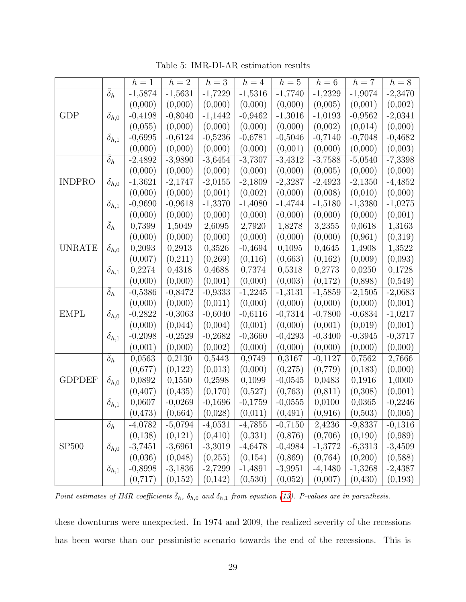|               |                       | $h=1$     | $h=2$     | $h=3$     | $h=4$     | $h=5$                | $h=6$     | $h=7$     | $h=8$     |
|---------------|-----------------------|-----------|-----------|-----------|-----------|----------------------|-----------|-----------|-----------|
|               | $\delta_h$            | $-1,5874$ | $-1,5631$ | $-1,7229$ | $-1,5316$ | $-1,7740$            | $-1,2329$ | $-1,9074$ | $-2,3470$ |
|               |                       | (0,000)   | (0,000)   | (0,000)   | (0,000)   | (0,000)              | (0,005)   | (0,001)   | (0,002)   |
| GDP           | $\delta_{h,0}$        | $-0,4198$ | $-0,8040$ | $-1,1442$ | $-0,9462$ | $-1,3016$            | $-1,0193$ | $-0,9562$ | $-2,0341$ |
|               |                       | (0,055)   | (0,000)   | (0,000)   | (0,000)   | (0,000)              | (0,002)   | (0,014)   | (0,000)   |
|               | $\delta_{h,1}$        | $-0,6995$ | $-0,6124$ | $-0,5236$ | $-0,6781$ | $-0,5046$            | $-0,7140$ | $-0,7048$ | $-0,4682$ |
|               |                       | (0,000)   | (0,000)   | (0,000)   | (0,000)   | (0,001)              | (0,000)   | (0,000)   | (0,003)   |
|               | $\delta_h$            | $-2,4892$ | $-3,9890$ | $-3,6454$ | $-3,7307$ | $-3,431\overline{2}$ | $-3,7588$ | $-5,0540$ | $-7,3398$ |
|               |                       | (0,000)   | (0,000)   | (0,000)   | (0,000)   | (0,000)              | (0,005)   | (0,000)   | (0,000)   |
| <b>INDPRO</b> | $\delta_{h,0}$        | $-1,3621$ | $-2,1747$ | $-2,0155$ | $-2,1809$ | $-2,3287$            | $-2,4923$ | $-2,1350$ | $-4,4852$ |
|               |                       | (0,000)   | (0,000)   | (0,001)   | (0,002)   | (0,000)              | (0,008)   | (0,010)   | (0,000)   |
|               | $\delta_{h,1}$        | $-0,9690$ | $-0,9618$ | $-1,3370$ | $-1,4080$ | $-1,4744$            | $-1,5180$ | $-1,3380$ | $-1,0275$ |
|               |                       | (0,000)   | (0,000)   | (0,000)   | (0,000)   | (0,000)              | (0,000)   | (0,000)   | (0,001)   |
|               | $\delta_h$            | 0,7399    | 1,5049    | 2,6095    | 2,7920    | 1,8278               | 3,2355    | 0,0618    | 1,3163    |
|               |                       | (0,000)   | (0,000)   | (0,000)   | (0,000)   | (0,000)              | (0,000)   | (0,961)   | (0,319)   |
| <b>UNRATE</b> | $\delta_{h,0}$        | 0,2093    | 0,2913    | 0,3526    | $-0,4694$ | 0,1095               | 0,4645    | 1,4908    | 1,3522    |
|               |                       | (0,007)   | (0,211)   | (0,269)   | (0,116)   | (0,663)              | (0,162)   | (0,009)   | (0,093)   |
|               | $\delta_{h,1}$        | 0,2274    | 0,4318    | 0,4688    | 0,7374    | 0,5318               | 0,2773    | 0,0250    | 0,1728    |
|               |                       | (0,000)   | (0,000)   | (0,001)   | (0,000)   | (0,003)              | (0,172)   | (0,898)   | (0,549)   |
|               | $\overline{\delta}_h$ | $-0,5386$ | $-0,8472$ | $-0,9333$ | $-1,2245$ | $-1,3131$            | $-1,5859$ | $-2,1505$ | $-2,0683$ |
|               |                       | (0,000)   | (0,000)   | (0,011)   | (0,000)   | (0,000)              | (0,000)   | (0,000)   | (0,001)   |
| <b>EMPL</b>   | $\delta_{h,0}$        | $-0,2822$ | $-0,3063$ | $-0,6040$ | $-0,6116$ | $-0,7314$            | $-0,7800$ | $-0,6834$ | $-1,0217$ |
|               |                       | (0,000)   | (0,044)   | (0,004)   | (0,001)   | (0,000)              | (0,001)   | (0,019)   | (0,001)   |
|               | $\delta_{h,1}$        | $-0,2098$ | $-0,2529$ | $-0,2682$ | $-0,3660$ | $-0,4293$            | $-0,3400$ | $-0,3945$ | $-0,3717$ |
|               |                       | (0,001)   | (0,000)   | (0,002)   | (0,000)   | (0,000)              | (0,000)   | (0,000)   | (0,000)   |
|               | $\overline{\delta}_h$ | 0,0563    | 0,2130    | 0,5443    | 0,9749    | 0,3167               | $-0,1127$ | 0,7562    | 2,7666    |
|               |                       | (0,677)   | (0,122)   | (0,013)   | (0,000)   | (0,275)              | (0,779)   | (0,183)   | (0,000)   |
| <b>GDPDEF</b> | $\delta_{h,0}$        | 0,0892    | 0,1550    | 0,2598    | 0,1099    | $-0,0545$            | 0,0483    | 0,1916    | 1,0000    |
|               |                       | (0, 407)  | (0, 435)  | (0,170)   | (0,527)   | (0,763)              | (0, 811)  | (0,308)   | (0,001)   |
|               | $\delta_{h,1}$        | 0,0607    | $-0,0269$ | $-0,1696$ | $-0,1759$ | $-0,0555$            | 0,0100    | 0,0365    | $-0,2246$ |
|               |                       | (0,473)   | (0,664)   | (0,028)   | (0,011)   | (0, 491)             | (0,916)   | (0,503)   | (0,005)   |
|               | $\delta_h$            | $-4,0782$ | $-5,0794$ | $-4,0531$ | $-4,7855$ | $-0,7150$            | 2,4236    | $-9,8337$ | $-0,1316$ |
|               |                       | (0,138)   | (0,121)   | (0, 410)  | (0,331)   | (0,876)              | (0,706)   | (0,190)   | (0,989)   |
| SP500         | $\delta_{h,0}$        | $-3,7451$ | $-3,6961$ | $-3,3019$ | $-4,6478$ | $-0,4984$            | $-1,3772$ | $-6,3313$ | $-3,4509$ |
|               |                       | (0,036)   | (0,048)   | (0,255)   | (0,154)   | (0, 869)             | (0,764)   | (0,200)   | (0,588)   |
|               | $\delta_{h,1}$        | $-0,8998$ | $-3,1836$ | $-2,7299$ | $-1,4891$ | $-3,9951$            | $-4,1480$ | $-1,3268$ | $-2,4387$ |
|               |                       | (0,717)   | (0,152)   | (0,142)   | (0,530)   | (0,052)              | (0,007)   | (0, 430)  | (0,193)   |

<span id="page-29-0"></span>Table 5: IMR-DI-AR estimation results

Point estimates of IMR coefficients  $\bar{\delta}_h$ ,  $\delta_{h,0}$  and  $\delta_{h,1}$  from equation [\(13\)](#page-16-0). P-values are in parenthesis.

these downturns were unexpected. In 1974 and 2009, the realized severity of the recessions has been worse than our pessimistic scenario towards the end of the recessions. This is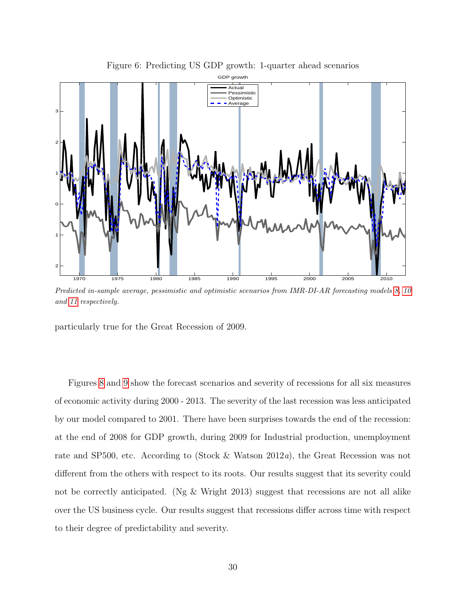<span id="page-30-0"></span>

Predicted in-sample average, pessimistic and optimistic scenarios from IMR-DI-AR forecasting models [8,](#page-13-1) [10](#page-14-0) and [11](#page-14-1) respectively.

particularly true for the Great Recession of 2009.

Figures [8](#page-31-1) and [9](#page-32-0) show the forecast scenarios and severity of recessions for all six measures of economic activity during 2000 - 2013. The severity of the last recession was less anticipated by our model compared to 2001. There have been surprises towards the end of the recession: at the end of 2008 for GDP growth, during 2009 for Industrial production, unemployment rate and SP500, etc. According to (Stock & Watson 2012a), the Great Recession was not different from the others with respect to its roots. Our results suggest that its severity could not be correctly anticipated. (Ng & Wright 2013) suggest that recessions are not all alike over the US business cycle. Our results suggest that recessions differ across time with respect to their degree of predictability and severity.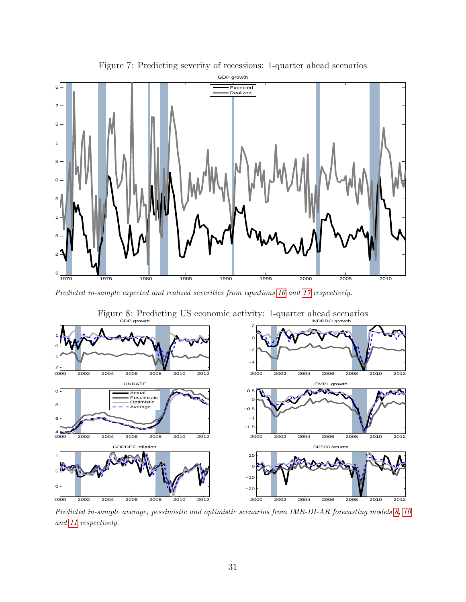

<span id="page-31-0"></span>Figure 7: Predicting severity of recessions: 1-quarter ahead scenarios

Predicted in-sample expected and realized severities from equations [16](#page-18-1) and [17](#page-18-2) respectively.



<span id="page-31-1"></span>Figure 8: Predicting US economic activity: 1-quarter ahead scenarios

Predicted in-sample average, pessimistic and optimistic scenarios from IMR-DI-AR forecasting models [8,](#page-13-1) [10](#page-14-0) and [11](#page-14-1) respectively.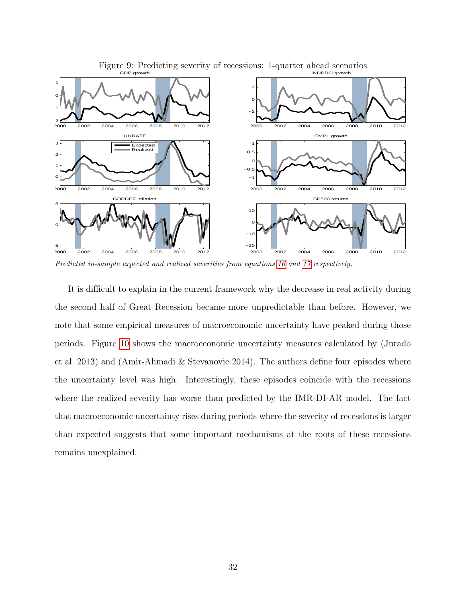

<span id="page-32-0"></span>Figure 9: Predicting severity of recessions: 1-quarter ahead scenarios

Predicted in-sample expected and realized severities from equations [16](#page-18-1) and [17](#page-18-2) respectively.

It is difficult to explain in the current framework why the decrease in real activity during the second half of Great Recession became more unpredictable than before. However, we note that some empirical measures of macroeconomic uncertainty have peaked during those periods. Figure [10](#page-33-0) shows the macroeconomic uncertainty measures calculated by (Jurado et al. 2013) and (Amir-Ahmadi & Stevanovic 2014). The authors define four episodes where the uncertainty level was high. Interestingly, these episodes coincide with the recessions where the realized severity has worse than predicted by the IMR-DI-AR model. The fact that macroeconomic uncertainty rises during periods where the severity of recessions is larger than expected suggests that some important mechanisms at the roots of these recessions remains unexplained.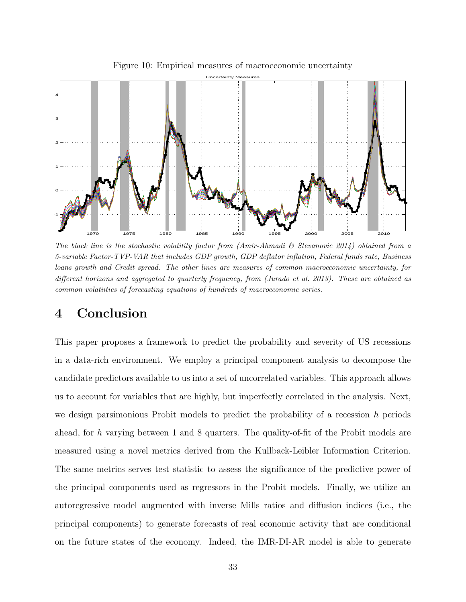

<span id="page-33-0"></span>Figure 10: Empirical measures of macroeconomic uncertainty

The black line is the stochastic volatility factor from  $(Amir-Ahmadi \& Stevanovic 2014)$  obtained from a 5-variable Factor-TVP-VAR that includes GDP growth, GDP deflator inflation, Federal funds rate, Business loans growth and Credit spread. The other lines are measures of common macroeconomic uncertainty, for different horizons and aggregated to quarterly frequency, from (Jurado et al. 2013). These are obtained as common volatiities of forecasting equations of hundreds of macroeconomic series.

# 4 Conclusion

This paper proposes a framework to predict the probability and severity of US recessions in a data-rich environment. We employ a principal component analysis to decompose the candidate predictors available to us into a set of uncorrelated variables. This approach allows us to account for variables that are highly, but imperfectly correlated in the analysis. Next, we design parsimonious Probit models to predict the probability of a recession  $h$  periods ahead, for h varying between 1 and 8 quarters. The quality-of-fit of the Probit models are measured using a novel metrics derived from the Kullback-Leibler Information Criterion. The same metrics serves test statistic to assess the significance of the predictive power of the principal components used as regressors in the Probit models. Finally, we utilize an autoregressive model augmented with inverse Mills ratios and diffusion indices (i.e., the principal components) to generate forecasts of real economic activity that are conditional on the future states of the economy. Indeed, the IMR-DI-AR model is able to generate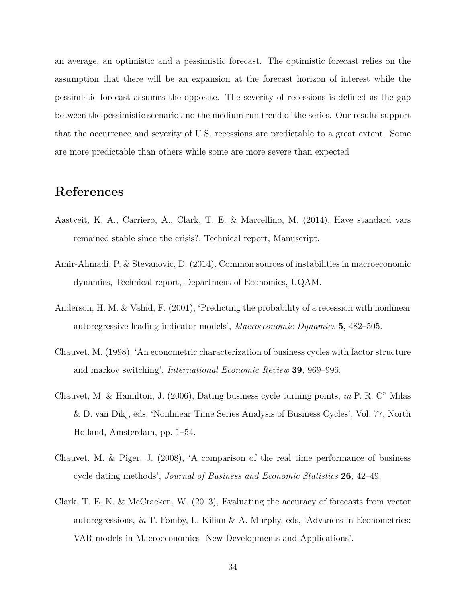an average, an optimistic and a pessimistic forecast. The optimistic forecast relies on the assumption that there will be an expansion at the forecast horizon of interest while the pessimistic forecast assumes the opposite. The severity of recessions is defined as the gap between the pessimistic scenario and the medium run trend of the series. Our results support that the occurrence and severity of U.S. recessions are predictable to a great extent. Some are more predictable than others while some are more severe than expected

# References

- Aastveit, K. A., Carriero, A., Clark, T. E. & Marcellino, M. (2014), Have standard vars remained stable since the crisis?, Technical report, Manuscript.
- Amir-Ahmadi, P. & Stevanovic, D. (2014), Common sources of instabilities in macroeconomic dynamics, Technical report, Department of Economics, UQAM.
- Anderson, H. M. & Vahid, F. (2001), 'Predicting the probability of a recession with nonlinear autoregressive leading-indicator models', Macroeconomic Dynamics 5, 482–505.
- Chauvet, M. (1998), 'An econometric characterization of business cycles with factor structure and markov switching', International Economic Review 39, 969–996.
- Chauvet, M. & Hamilton, J. (2006), Dating business cycle turning points, in P. R. C" Milas & D. van Dikj, eds, 'Nonlinear Time Series Analysis of Business Cycles', Vol. 77, North Holland, Amsterdam, pp. 1–54.
- Chauvet, M. & Piger, J. (2008), 'A comparison of the real time performance of business cycle dating methods', Journal of Business and Economic Statistics 26, 42–49.
- Clark, T. E. K. & McCracken, W. (2013), Evaluating the accuracy of forecasts from vector autoregressions, in T. Fomby, L. Kilian & A. Murphy, eds, 'Advances in Econometrics: VAR models in Macroeconomics New Developments and Applications'.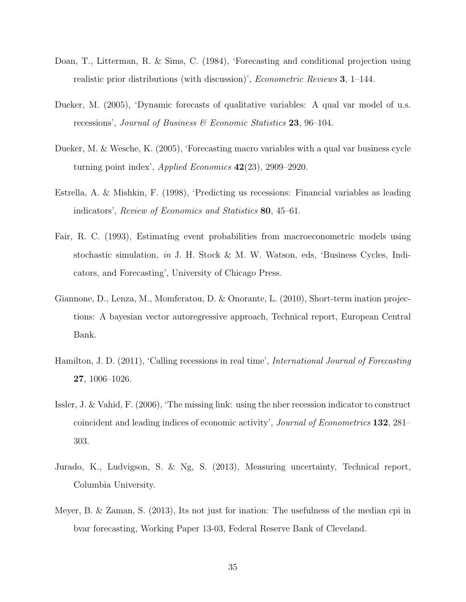- Doan, T., Litterman, R. & Sims, C. (1984), 'Forecasting and conditional projection using realistic prior distributions (with discussion)', Econometric Reviews 3, 1–144.
- Dueker, M. (2005), 'Dynamic forecasts of qualitative variables: A qual var model of u.s. recessions', Journal of Business & Economic Statistics 23, 96–104.
- Dueker, M. & Wesche, K. (2005), 'Forecasting macro variables with a qual var business cycle turning point index', Applied Economics 42(23), 2909–2920.
- Estrella, A. & Mishkin, F. (1998), 'Predicting us recessions: Financial variables as leading indicators', Review of Economics and Statistics 80, 45–61.
- Fair, R. C. (1993), Estimating event probabilities from macroeconometric models using stochastic simulation, in J. H. Stock & M. W. Watson, eds, 'Business Cycles, Indicators, and Forecasting', University of Chicago Press.
- Giannone, D., Lenza, M., Momferatou, D. & Onorante, L. (2010), Short-term ination projections: A bayesian vector autoregressive approach, Technical report, European Central Bank.
- Hamilton, J. D. (2011), 'Calling recessions in real time', International Journal of Forecasting 27, 1006–1026.
- Issler, J. & Vahid, F. (2006), 'The missing link: using the nber recession indicator to construct coincident and leading indices of economic activity', Journal of Econometrics 132, 281– 303.
- Jurado, K., Ludvigson, S. & Ng, S. (2013), Measuring uncertainty, Technical report, Columbia University.
- Meyer, B. & Zaman, S. (2013), Its not just for ination: The usefulness of the median cpi in bvar forecasting, Working Paper 13-03, Federal Reserve Bank of Cleveland.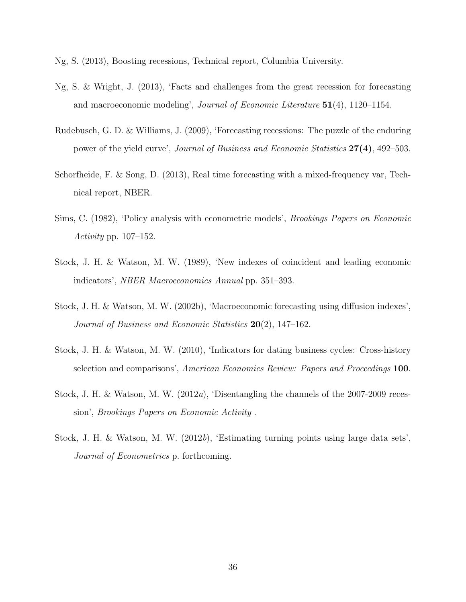Ng, S. (2013), Boosting recessions, Technical report, Columbia University.

- Ng, S. & Wright, J. (2013), 'Facts and challenges from the great recession for forecasting and macroeconomic modeling', *Journal of Economic Literature*  $51(4)$ , 1120–1154.
- Rudebusch, G. D. & Williams, J. (2009), 'Forecasting recessions: The puzzle of the enduring power of the yield curve', Journal of Business and Economic Statistics 27(4), 492–503.
- Schorfheide, F. & Song, D. (2013), Real time forecasting with a mixed-frequency var, Technical report, NBER.
- Sims, C. (1982), 'Policy analysis with econometric models', Brookings Papers on Economic Activity pp. 107–152.
- Stock, J. H. & Watson, M. W. (1989), 'New indexes of coincident and leading economic indicators', NBER Macroeconomics Annual pp. 351–393.
- Stock, J. H. & Watson, M. W. (2002b), 'Macroeconomic forecasting using diffusion indexes', Journal of Business and Economic Statistics 20(2), 147–162.
- Stock, J. H. & Watson, M. W. (2010), 'Indicators for dating business cycles: Cross-history selection and comparisons', American Economics Review: Papers and Proceedings 100.
- Stock, J. H. & Watson, M. W. (2012a), 'Disentangling the channels of the 2007-2009 recession', Brookings Papers on Economic Activity .
- Stock, J. H. & Watson, M. W. (2012b), 'Estimating turning points using large data sets', Journal of Econometrics p. forthcoming.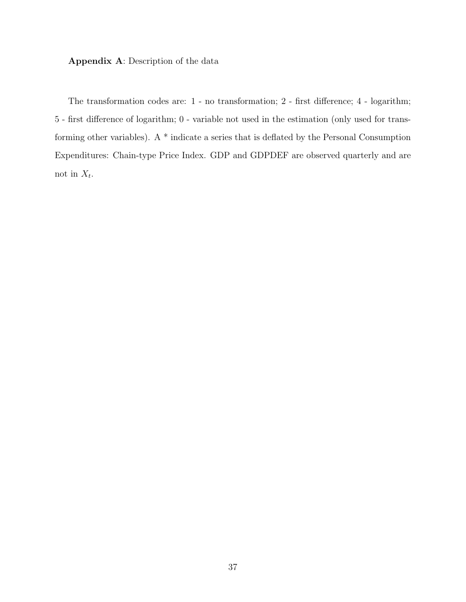Appendix A: Description of the data

The transformation codes are: 1 - no transformation; 2 - first difference; 4 - logarithm; 5 - first difference of logarithm; 0 - variable not used in the estimation (only used for transforming other variables). A \* indicate a series that is deflated by the Personal Consumption Expenditures: Chain-type Price Index. GDP and GDPDEF are observed quarterly and are not in  $X_t$ .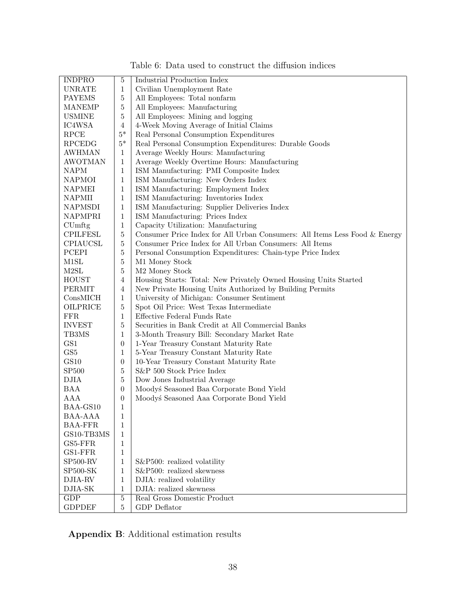| <b>INDPRO</b>           | $\mathbf 5$      | <b>Industrial Production Index</b>                                            |
|-------------------------|------------------|-------------------------------------------------------------------------------|
| <b>UNRATE</b>           | $\mathbf{1}$     | Civilian Unemployment Rate                                                    |
| <b>PAYEMS</b>           | $\bf 5$          | All Employees: Total nonfarm                                                  |
| <b>MANEMP</b>           | $\bf 5$          | All Employees: Manufacturing                                                  |
| <b>USMINE</b>           | $\bf 5$          | All Employees: Mining and logging                                             |
| IC4WSA                  | $\overline{4}$   | 4-Week Moving Average of Initial Claims                                       |
| RPCE                    | $5*$             | Real Personal Consumption Expenditures                                        |
| <b>RPCEDG</b>           | $5^\ast$         | Real Personal Consumption Expenditures: Durable Goods                         |
| AWHMAN                  | $\mathbf{1}$     | Average Weekly Hours: Manufacturing                                           |
| <b>AWOTMAN</b>          | $\mathbf{1}$     | Average Weekly Overtime Hours: Manufacturing                                  |
| <b>NAPM</b>             | $\mathbf{1}$     | ISM Manufacturing: PMI Composite Index                                        |
| <b>NAPMOI</b>           | $\mathbf{1}$     | ISM Manufacturing: New Orders Index                                           |
|                         |                  |                                                                               |
| NAPMEI                  | $\mathbf{1}$     | ISM Manufacturing: Employment Index                                           |
| <b>NAPMII</b>           | $\mathbf{1}$     | ISM Manufacturing: Inventories Index                                          |
| <b>NAPMSDI</b>          | $\mathbf{1}$     | ISM Manufacturing: Supplier Deliveries Index                                  |
| <b>NAPMPRI</b>          | $\mathbf{1}$     | ISM Manufacturing: Prices Index                                               |
| CUmftg                  | $\mathbf{1}$     | Capacity Utilization: Manufacturing                                           |
| <b>CPILFESL</b>         | $\overline{5}$   | Consumer Price Index for All Urban Consumers: All Items Less Food $\&$ Energy |
| CPIAUCSL                | $\bf 5$          | Consumer Price Index for All Urban Consumers: All Items                       |
| PCEPI                   | $\bf 5$          | Personal Consumption Expenditures: Chain-type Price Index                     |
| M1SL                    | $\bf 5$          | M1 Money Stock                                                                |
| M2SL                    | $\bf 5$          | M <sub>2</sub> Money Stock                                                    |
| <b>HOUST</b>            | $\overline{4}$   | Housing Starts: Total: New Privately Owned Housing Units Started              |
| PERMIT                  | $\overline{4}$   | New Private Housing Units Authorized by Building Permits                      |
| ConsMICH                | $\mathbf{1}$     | University of Michigan: Consumer Sentiment                                    |
| OILPRICE                | $\overline{5}$   | Spot Oil Price: West Texas Intermediate                                       |
| ${\rm FFR}$             | $\mathbf{1}$     | Effective Federal Funds Rate                                                  |
| <b>INVEST</b>           | $\bf 5$          | Securities in Bank Credit at All Commercial Banks                             |
| TB3MS                   | $\mathbf{1}$     | 3-Month Treasury Bill: Secondary Market Rate                                  |
| GS1                     | $\boldsymbol{0}$ | 1-Year Treasury Constant Maturity Rate                                        |
| GS5                     | $\mathbf{1}$     | 5-Year Treasury Constant Maturity Rate                                        |
| GS10                    | $\boldsymbol{0}$ | 10-Year Treasury Constant Maturity Rate                                       |
| SP <sub>500</sub>       | $\overline{5}$   | S&P 500 Stock Price Index                                                     |
| <b>DJIA</b>             | $\bf 5$          |                                                                               |
|                         |                  | Dow Jones Industrial Average                                                  |
| <b>BAA</b>              | $\boldsymbol{0}$ | Moodyś Seasoned Baa Corporate Bond Yield                                      |
| AAA                     | $\boldsymbol{0}$ | Moodyś Seasoned Aaa Corporate Bond Yield                                      |
| BAA-GS10                | $\mathbf{1}$     |                                                                               |
| BAA-AAA                 | 1                |                                                                               |
| <b>BAA-FFR</b>          | $\mathbf{1}$     |                                                                               |
| GS10-TB3MS              | 1                |                                                                               |
| GS5-FFR                 | $\mathbf{1}$     |                                                                               |
| GS1-FFR                 | 1                |                                                                               |
| <b>SP500-RV</b>         | $\mathbf{1}$     | S&P500: realized volatility                                                   |
| ${\rm SP500\text{-}SK}$ | 1                | S&P500: realized skewness                                                     |
| DJIA-RV                 | 1                | DJIA: realized volatility                                                     |
| DJIA-SK                 | 1                | DJIA: realized skewness                                                       |
| $\overline{\text{GDP}}$ | $\overline{5}$   | Real Gross Domestic Product                                                   |
| <b>GDPDEF</b>           | $\overline{5}$   | <b>GDP</b> Deflator                                                           |
|                         |                  |                                                                               |

<span id="page-38-0"></span>Table 6: Data used to construct the diffusion indices

Appendix B: Additional estimation results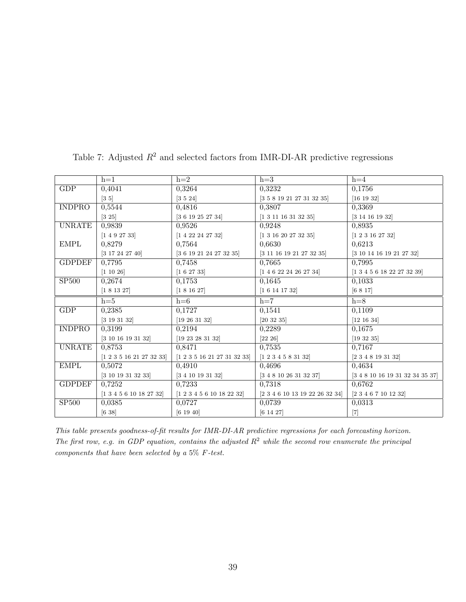|               | $h=1$                             | $h=2$                       | $h=3$                                        | $h=4$                                 |
|---------------|-----------------------------------|-----------------------------|----------------------------------------------|---------------------------------------|
| GDP           | 0,4041                            | 0,3264                      | 0,3232                                       | 0,1756                                |
|               | $\left[3\;5\right]$               | $\left[ 3~5~24\right]$      | [3 5 8 19 21 27 31 32 35]                    | [16 19 32]                            |
| <b>INDPRO</b> | 0,5544                            | 0,4816                      | 0,3807                                       | 0,3369                                |
|               | $[3\;25]$                         | [3 6 19 25 27 34]           | [1 3 11 16 31 32 35]                         | [3 14 16 19 32]                       |
| <b>UNRATE</b> | 0,9839                            | 0,9526                      | 0.9248                                       | 0,8935                                |
|               | [1 4 9 27 33]                     | [1 4 22 24 27 32]           | [1 3 16 20 27 32 35]                         | [1 2 3 16 27 32]                      |
| <b>EMPL</b>   | 0,8279                            | 0,7564                      | 0,6630                                       | 0,6213                                |
|               | [3 17 24 27 40]                   | [3 6 19 21 24 27 32 35]     | $\left[3\ 11\ 16\ 19\ 21\ 27\ 32\ 35\right]$ | [3 10 14 16 19 21 27 32]              |
| <b>GDPDEF</b> | 0,7795                            | 0,7458                      | 0,7665                                       | 0,7995                                |
|               | [1 10 26]                         | [1 6 27 33]                 | [1 4 6 22 24 26 27 34]                       | $[1\ 3\ 4\ 5\ 6\ 18\ 22\ 27\ 32\ 39]$ |
| SP500         | 0,2674                            | 0,1753                      | 0,1645                                       | 0,1033                                |
|               | [1 8 13 27]                       | [1 8 16 27]                 | [1 6 14 17 32]                               | [6 8 17]                              |
|               | $h=5$                             | $h=6$                       | $h=7$                                        | $h=8$                                 |
| GDP           | 0,2385                            | 0,1727                      | 0,1541                                       | 0,1109                                |
|               | [3 19 31 32]                      | [19 26 31 32]               | [20 32 35]                                   | [12 16 34]                            |
| <b>INDPRO</b> | 0,3199                            | 0,2194                      | 0,2289                                       | 0,1675                                |
|               | [3 10 16 19 31 32]                | [19 23 28 31 32]            | [22 26]                                      | [19 32 35]                            |
| <b>UNRATE</b> | 0,8753                            | 0,8471                      | 0,7535                                       | 0,7167                                |
|               | [1 2 3 5 16 21 27 32 33]          | [1 2 3 5 16 21 27 31 32 33] | [1 2 3 4 5 8 31 32]                          | [2 3 4 8 19 31 32]                    |
| <b>EMPL</b>   | 0,5072                            | 0,4910                      | 0,4696                                       | 0,4634                                |
|               | [3 10 19 31 32 33]                | [3 4 10 19 31 32]           | [3 4 8 10 26 31 32 37]                       | [3 4 8 10 16 19 31 32 34 35 37]       |
| <b>GDPDEF</b> | 0,7252                            | 0,7233                      | 0,7318                                       | 0,6762                                |
|               | $[1\ 3\ 4\ 5\ 6\ 10\ 18\ 27\ 32]$ | [1 2 3 4 5 6 10 18 22 32]   | [2 3 4 6 10 13 19 22 26 32 34]               | [2 3 4 6 7 10 12 32]                  |
| <b>SP500</b>  | 0,0385                            | 0,0727                      | 0,0739                                       | 0,0313                                |
|               | $[6\ 38]$                         | [6 19 40]                   | [6 14 27]                                    | $[7]$                                 |

<span id="page-39-0"></span>Table 7: Adjusted  $R^2$  and selected factors from IMR-DI-AR predictive regressions

This table presents goodness-of-fit results for IMR-DI-AR predictive regressions for each forecasting horizon. The first row, e.g. in GDP equation, contains the adjusted  $R^2$  while the second row enumerate the principal components that have been selected by a 5% F-test.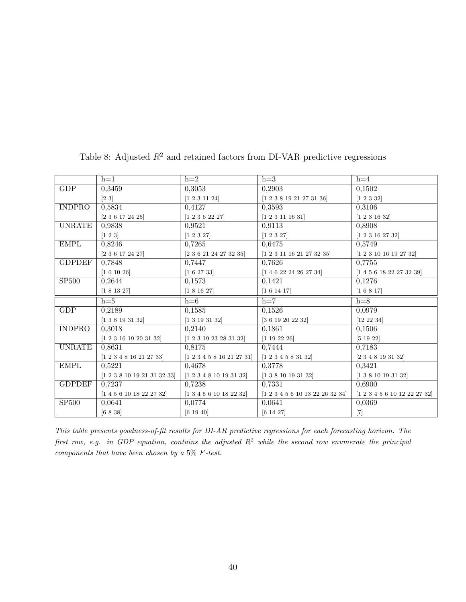|                   | $h=1$                       | $h=2$                     | $h=3$                           | $h=4$                        |
|-------------------|-----------------------------|---------------------------|---------------------------------|------------------------------|
| <b>GDP</b>        | 0,3459                      | 0,3053                    | 0,2903                          | 0,1502                       |
|                   | $[2\ 3]$                    | [1 2 3 11 24]             | [1 2 3 8 19 21 27 31 36]        | [1 2 3 32]                   |
| <b>INDPRO</b>     | 0,5834                      | 0,4127                    | 0,3593                          | 0,3106                       |
|                   | [2 3 6 17 24 25]            | [1 2 3 6 22 27]           | [1 2 3 11 16 31]                | [1 2 3 16 32]                |
| <b>UNRATE</b>     | 0,9838                      | 0,9521                    | 0,9113                          | 0,8908                       |
|                   | $[1\;2\;3]$                 | [1 2 3 27]                | [1 2 3 27]                      | [1 2 3 16 27 32]             |
| <b>EMPL</b>       | 0,8246                      | 0,7265                    | 0,6475                          | 0,5749                       |
|                   | [2 3 6 17 24 27]            | [2 3 6 21 24 27 32 35]    | [1 2 3 11 16 21 27 32 35]       | [1 2 3 10 16 19 27 32]       |
| <b>GDPDEF</b>     | 0,7848                      | 0,7447                    | 0,7626                          | 0,7755                       |
|                   | [1 6 10 26]                 | [1 6 27 33]               | [1 4 6 22 24 26 27 34]          | [1 4 5 6 18 22 27 32 39]     |
| SP <sub>500</sub> | 0,2644                      | 0,1573                    | 0,1421                          | 0,1276                       |
|                   | [1 8 13 27]                 | [1 8 16 27]               | [1 6 14 17]                     | [1 6 8 17]                   |
|                   | $h=5$                       | $h=6$                     | $h=7$                           | $h=8$                        |
| GDP               | 0,2189                      | 0,1585                    | 0,1526                          | 0,0979                       |
|                   | [1 3 8 19 31 32]            | [1 3 19 31 32]            | [3 6 19 20 22 32]               | [12 22 34]                   |
| <b>INDPRO</b>     | 0,3018                      | 0,2140                    | 0,1861                          | 0,1506                       |
|                   | [1 2 3 16 19 20 31 32]      | [1 2 3 19 23 28 31 32]    | [1 19 22 26]                    | [5 19 22]                    |
| <b>UNRATE</b>     | 0,8631                      | 0,8175                    | 0,7444                          | 0,7183                       |
|                   | [1 2 3 4 8 16 21 27 33]     | [1 2 3 4 5 8 16 21 27 31] | [1 2 3 4 5 8 31 32]             | $[2\ 3\ 4\ 8\ 19\ 31\ 32]$   |
| <b>EMPL</b>       | 0,5221                      | 0,4678                    | 0,3778                          | 0,3421                       |
|                   | [1 2 3 8 10 19 21 31 32 33] | [1 2 3 4 8 10 19 31 32]   | [1 3 8 10 19 31 32]             | [1 3 8 10 19 31 32]          |
| <b>GDPDEF</b>     | 0.7237                      | 0.7238                    | 0,7331                          | 0.6900                       |
|                   | [1 4 5 6 10 18 22 27 32]    | [1 3 4 5 6 10 18 22 32]   | [1 2 3 4 5 6 10 13 22 26 32 34] | [1 2 3 4 5 6 10 12 22 27 32] |
| <b>SP500</b>      | 0,0641                      | 0,0774                    | 0,0641                          | 0,0369                       |
|                   | [6 8 38]                    | [6 19 40]                 | [6 14 27]                       | $[7]$                        |

Table 8: Adjusted  $R^2$  and retained factors from DI-VAR predictive regressions

This table presents goodness-of-fit results for DI-AR predictive regressions for each forecasting horizon. The first row, e.g. in GDP equation, contains the adjusted  $R^2$  while the second row enumerate the principal components that have been chosen by a 5% F-test.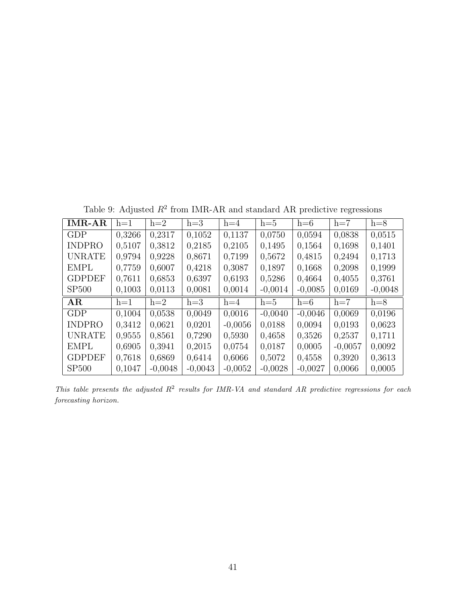Table 9: Adjusted  $R^2$  from IMR-AR and standard AR predictive regressions

| <b>IMR-AR</b> | $h=1$  | $h=2$  | $h=3$  | $h=4$     | $h=5$     | $h=6$     | $h=7$     | $h=8$     |
|---------------|--------|--------|--------|-----------|-----------|-----------|-----------|-----------|
| GDP           | 0,3266 | 0,2317 | 0,1052 | 0,1137    | 0,0750    | 0,0594    | 0,0838    | 0,0515    |
| <b>INDPRO</b> | 0,5107 | 0,3812 | 0,2185 | 0,2105    | 0,1495    | 0,1564    | 0,1698    | 0,1401    |
| <b>UNRATE</b> | 0,9794 | 0,9228 | 0,8671 | 0,7199    | 0,5672    | 0,4815    | 0,2494    | 0,1713    |
| <b>EMPL</b>   | 0,7759 | 0,6007 | 0,4218 | 0,3087    | 0,1897    | 0,1668    | 0,2098    | 0,1999    |
| <b>GDPDEF</b> | 0,7611 | 0,6853 | 0,6397 | 0,6193    | 0,5286    | 0,4664    | 0,4055    | 0,3761    |
| <b>SP500</b>  | 0,1003 | 0,0113 | 0,0081 | 0,0014    | $-0,0014$ | $-0,0085$ | 0,0169    | $-0,0048$ |
|               |        |        |        |           |           |           |           |           |
| AR            | $h=1$  | $h=2$  | $h=3$  | $h=4$     | $h=5$     | $h=6$     | $h=7$     | $h=8$     |
| <b>GDP</b>    | 0.1004 | 0.0538 | 0.0049 | 0.0016    | $-0,0040$ | $-0,0046$ | 0,0069    | 0,0196    |
| <b>INDPRO</b> | 0.3412 | 0,0621 | 0,0201 | $-0,0056$ | 0,0188    | 0,0094    | 0,0193    | 0,0623    |
| <b>UNRATE</b> | 0,9555 | 0,8561 | 0,7290 | 0,5930    | 0,4658    | 0,3526    | 0,2537    | 0,1711    |
| <b>EMPL</b>   | 0,6905 | 0,3941 | 0,2015 | 0,0754    | 0,0187    | 0,0005    | $-0.0057$ | 0,0092    |
| <b>GDPDEF</b> | 0,7618 | 0,6869 | 0,6414 | 0,6066    | 0,5072    | 0,4558    | 0,3920    | 0,3613    |

This table presents the adjusted  $R^2$  results for IMR-VA and standard AR predictive regressions for each forecasting horizon.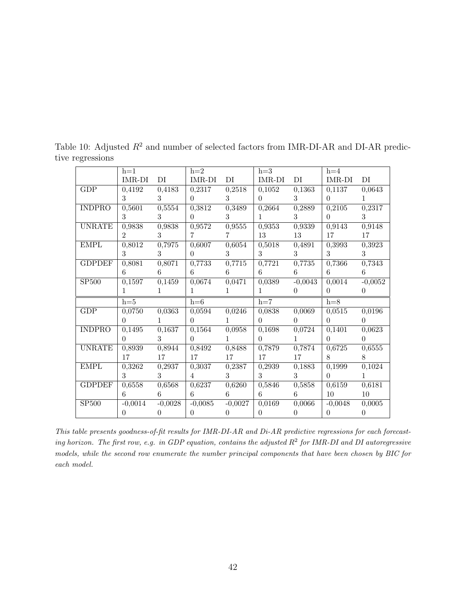<span id="page-42-0"></span>

|               | $h=1$               |                | $h=2$          |                     | $h=3$                 |                | $h=4$          |                |
|---------------|---------------------|----------------|----------------|---------------------|-----------------------|----------------|----------------|----------------|
|               | IMR-DI              | DI             | IMR-DI         | DI                  | IMR-DI                | DI             | IMR-DI         | DI             |
| GDP           | 0,4192              | 0,4183         | 0,2317         | 0,2518              | 0,1052                | 0,1363         | 0,1137         | 0,0643         |
|               | $\mathcal{S}$       | 3              | $\Omega$       | 3                   | $\theta$              | 3              | $\overline{0}$ | $\mathbf{1}$   |
| <b>INDPRO</b> | 0,5601              | 0,5554         | 0,3812         | 0,3489              | 0,2664                | 0,2889         | 0,2105         | 0,2317         |
|               | 3                   | 3              | $\Omega$       | 3                   | $\mathbf{1}$          | 3              | $\overline{0}$ | $\mathcal{S}$  |
| <b>UNRATE</b> | 0,9838              | 0,9838         | 0,9572         | $0,\overline{9555}$ | 0,9353                | 0,9339         | 0,9143         | 0,9148         |
|               | $\overline{2}$      | $\mathcal{S}$  | $\mathbf{7}$   | $\overline{7}$      | 13                    | 13             | 17             | 17             |
| <b>EMPL</b>   | 0,8012              | 0,7975         | 0,6007         | 0,6054              | $0,\!\overline{5018}$ | 0,4891         | 0,3993         | 0,3923         |
|               | 3                   | 3 <sup>1</sup> | $\Omega$       | 3 <sup>1</sup>      | 3 <sup>1</sup>        | 3 <sup>1</sup> | 3 <sup>1</sup> | 3 <sup>1</sup> |
| <b>GDPDEF</b> | 0,8081              | 0,8071         | 0,7733         | 0,7715              | 0,7721                | 0,7735         | 0,7366         | 0,7343         |
|               | 6                   | 6              | 6              | 6                   | 6                     | 6              | 6              | 6              |
| <b>SP500</b>  | 0,1597              | 0,1459         | 0,0674         | 0,0471              | 0,0389                | $-0,0043$      | 0,0014         | $-0,0052$      |
|               | $\mathbf{1}$        | $\mathbf{1}$   | $\mathbf{1}$   | 1                   | $\mathbf{1}$          | $\overline{0}$ | $\overline{0}$ | $\overline{0}$ |
|               |                     |                |                |                     |                       |                |                |                |
|               | $h=5$               |                | $h=6$          |                     | $h=7$                 |                | $h=8$          |                |
| GDP           | $\overline{0,}0750$ | 0,0363         | 0,0594         | 0,0246              | 0,0838                | 0,0069         | 0,0515         | 0,0196         |
|               | $\Omega$            | $\mathbf{1}$   | $\theta$       | $\mathbf{1}$        | $\theta$              | $\overline{0}$ | $\overline{0}$ | $\overline{0}$ |
| <b>INDPRO</b> | 0,1495              | 0,1637         | 0,1564         | 0,0958              | 0,1698                | 0,0724         | 0,1401         | 0,0623         |
|               | $\Omega$            | 3              | $\theta$       | $\mathbf{1}$        | $\theta$              | $\mathbf{1}$   | $\Omega$       | $\Omega$       |
| <b>UNRATE</b> | 0,8939              | 0,8944         | 0,8492         | 0,8488              | 0,7879                | 0,7874         | 0,6725         | 0,6555         |
|               | 17                  | 17             | 17             | 17                  | 17                    | 17             | 8              | 8              |
| <b>EMPL</b>   | 0,3262              | 0,2937         | 0,3037         | 0,2387              | 0,2939                | 0,1883         | 0,1999         | 0,1024         |
|               | 3 <sup>1</sup>      | $3^{-}$        | $\overline{4}$ | 3 <sup>1</sup>      | $\mathbf{3}$          | 3 <sup>1</sup> | $\theta$       | $\mathbf{1}$   |
| <b>GDPDEF</b> | 0,6558              | 0,6568         | 0,6237         | 0,6260              | 0,5846                | 0,5858         | 0,6159         | 0,6181         |
|               | 6                   | $6 \qquad$     | 6              | $6 \qquad$          | $6 \qquad$            | 6              | 10             | $10\,$         |
| <b>SP500</b>  | $-0,0014$           | $-0,0028$      | $-0,0085$      | $-0,0027$           | 0,0169                | 0,0066         | $-0,0048$      | 0,0005         |

Table 10: Adjusted  $R^2$  and number of selected factors from IMR-DI-AR and DI-AR predictive regressions

This table presents goodness-of-fit results for IMR-DI-AR and Di-AR predictive regressions for each forecasting horizon. The first row, e.g. in GDP equation, contains the adjusted  $R^2$  for IMR-DI and DI autoregressive models, while the second row enumerate the number principal components that have been chosen by BIC for each model.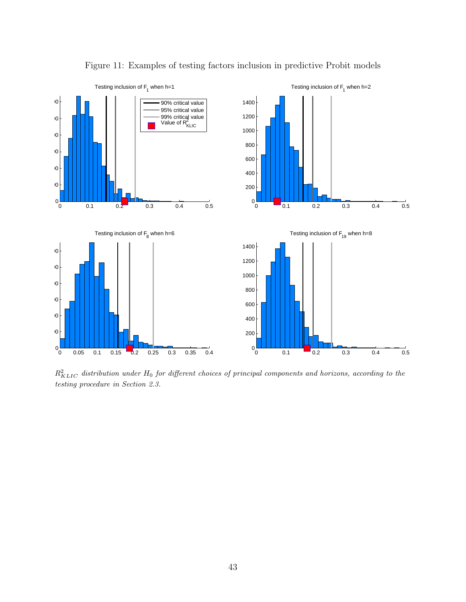

Figure 11: Examples of testing factors inclusion in predictive Probit models

 $R_{KLLC}^2$  distribution under  $H_0$  for different choices of principal components and horizons, according to the testing procedure in Section 2.3.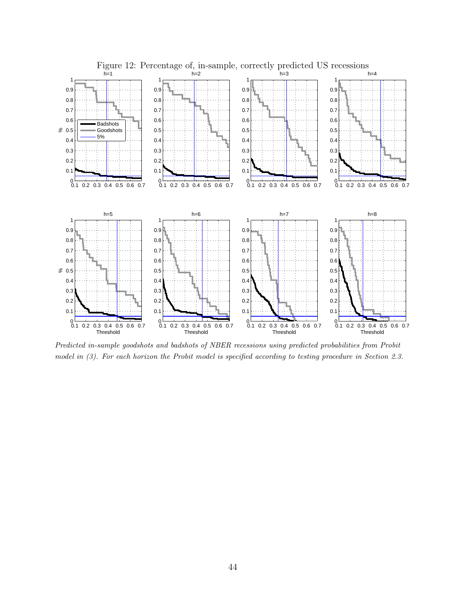

<span id="page-44-0"></span>Figure 12: Percentage of, in-sample, correctly predicted US recessions

Predicted in-sample goodshots and badshots of NBER recessions using predicted probabilities from Probit model in (3). For each horizon the Probit model is specified according to testing procedure in Section 2.3.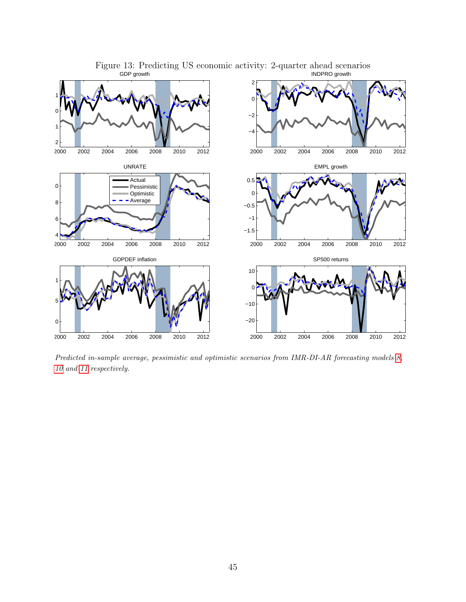

Figure 13: Predicting US economic activity: 2-quarter ahead scenarios GDP growth INDPRO growth

Predicted in-sample average, pessimistic and optimistic scenarios from IMR-DI-AR forecasting models [8,](#page-13-1) [10](#page-14-0) and [11](#page-14-1) respectively.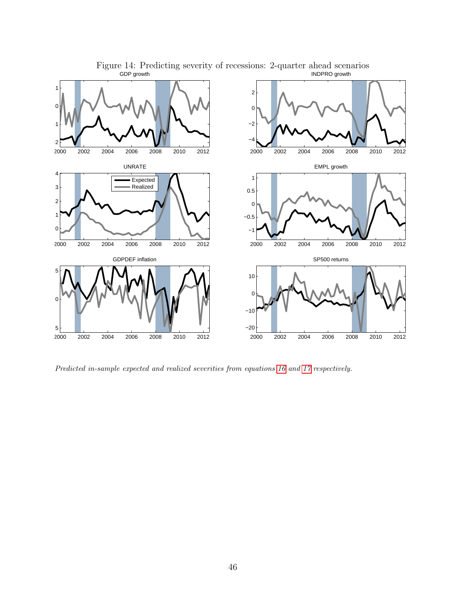

Figure 14: Predicting severity of recessions: 2-quarter ahead scenarios GDP growth INDPRO growth

Predicted in-sample expected and realized severities from equations [16](#page-18-1) and [17](#page-18-2) respectively.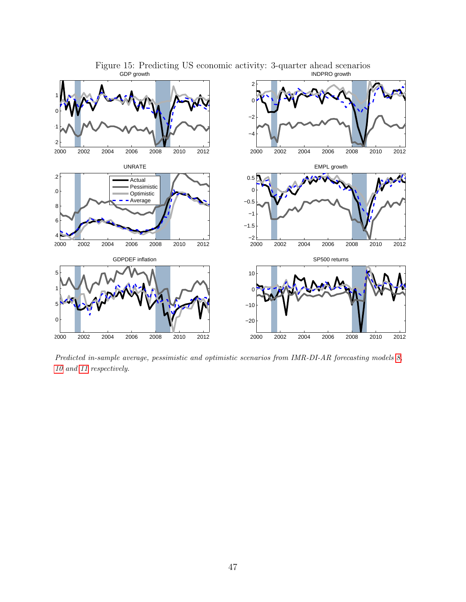

Figure 15: Predicting US economic activity: 3-quarter ahead scenarios GDP growth INDPRO growth

Predicted in-sample average, pessimistic and optimistic scenarios from IMR-DI-AR forecasting models [8,](#page-13-1) [10](#page-14-0) and [11](#page-14-1) respectively.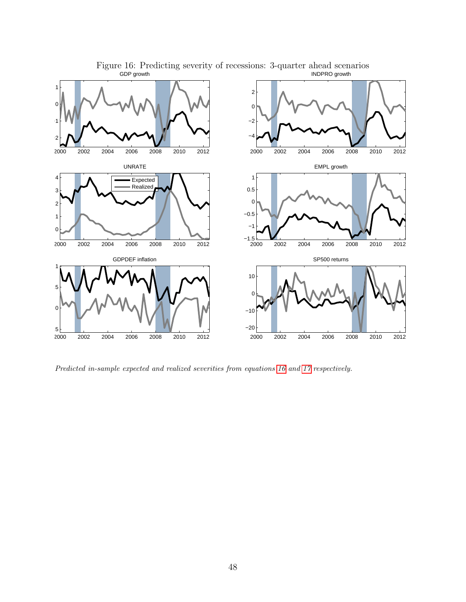

Figure 16: Predicting severity of recessions: 3-quarter ahead scenarios GDP growth INDPRO growth

Predicted in-sample expected and realized severities from equations [16](#page-18-1) and [17](#page-18-2) respectively.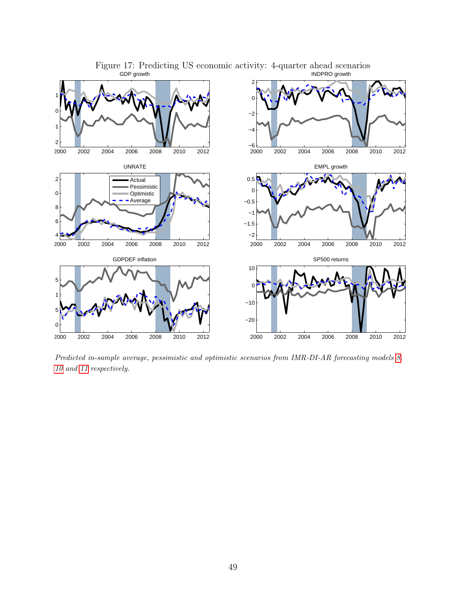

Figure 17: Predicting US economic activity: 4-quarter ahead scenarios

Predicted in-sample average, pessimistic and optimistic scenarios from IMR-DI-AR forecasting models [8,](#page-13-1) [10](#page-14-0) and [11](#page-14-1) respectively.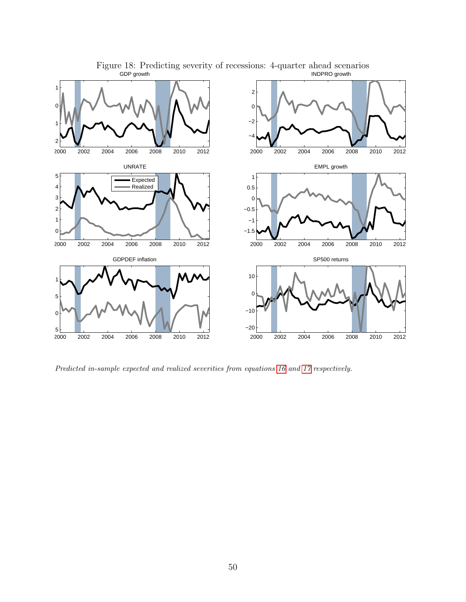

Figure 18: Predicting severity of recessions: 4-quarter ahead scenarios GDP growth INDPRO growth

Predicted in-sample expected and realized severities from equations [16](#page-18-1) and [17](#page-18-2) respectively.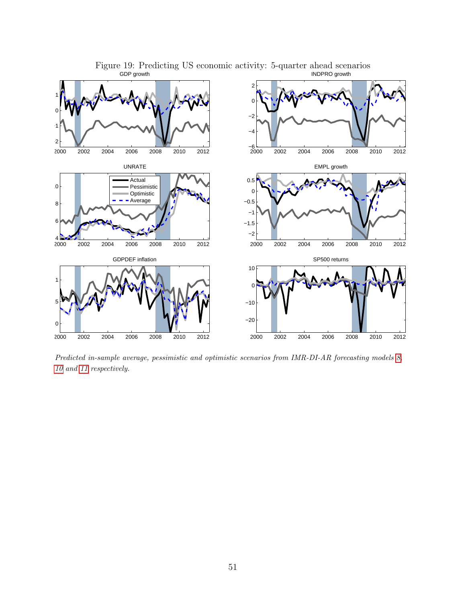

Figure 19: Predicting US economic activity: 5-quarter ahead scenarios INDPRO growth

Predicted in-sample average, pessimistic and optimistic scenarios from IMR-DI-AR forecasting models [8,](#page-13-1) [10](#page-14-0) and [11](#page-14-1) respectively.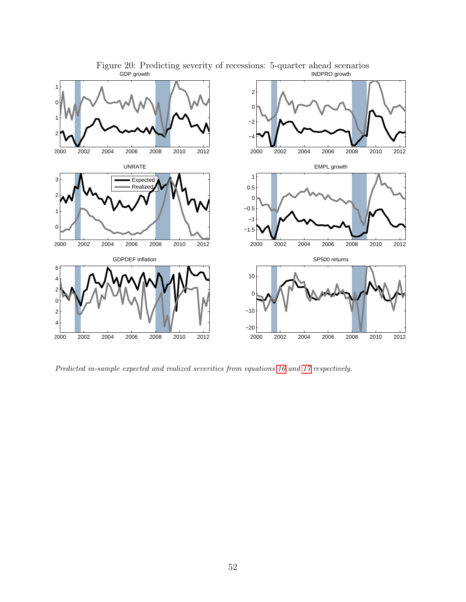

Figure 20: Predicting severity of recessions: 5-quarter ahead scenarios GDP growth INDPRO growth

Predicted in-sample expected and realized severities from equations [16](#page-18-1) and [17](#page-18-2) respectively.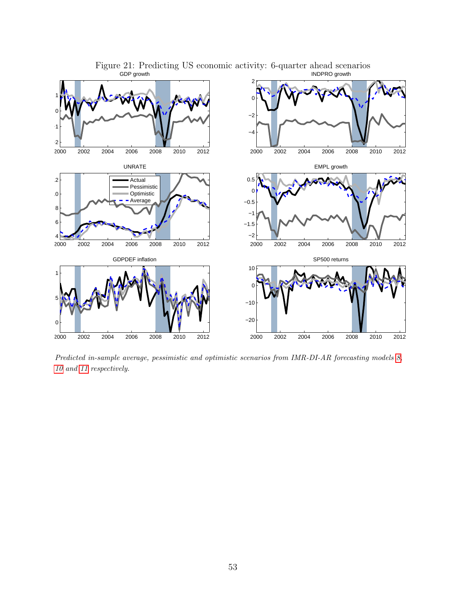

Figure 21: Predicting US economic activity: 6-quarter ahead scenarios INDPRO growth

Predicted in-sample average, pessimistic and optimistic scenarios from IMR-DI-AR forecasting models [8,](#page-13-1) [10](#page-14-0) and [11](#page-14-1) respectively.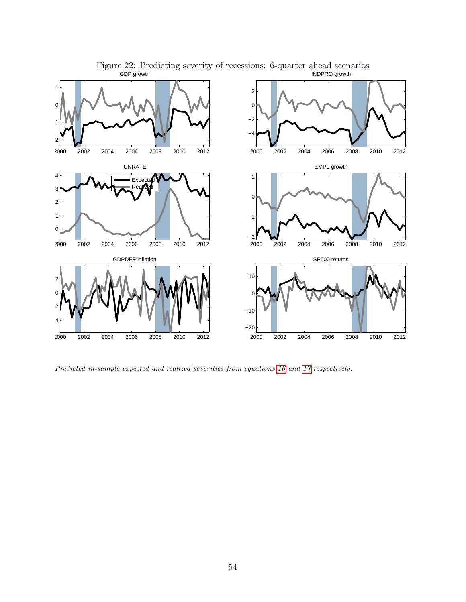

Figure 22: Predicting severity of recessions: 6-quarter ahead scenarios GDP growth INDPRO growth

Predicted in-sample expected and realized severities from equations [16](#page-18-1) and [17](#page-18-2) respectively.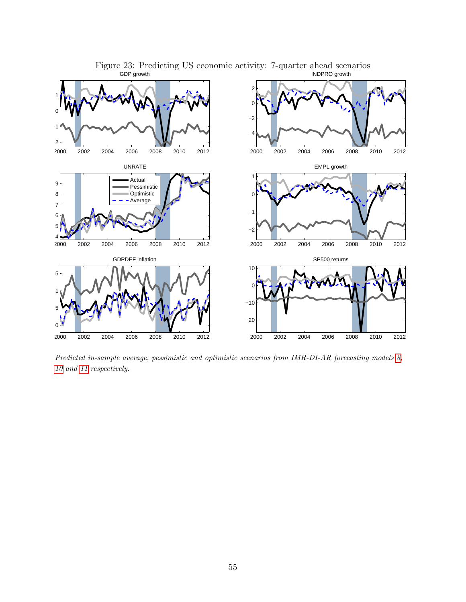

Figure 23: Predicting US economic activity: 7-quarter ahead scenarios

Predicted in-sample average, pessimistic and optimistic scenarios from IMR-DI-AR forecasting models [8,](#page-13-1) [10](#page-14-0) and [11](#page-14-1) respectively.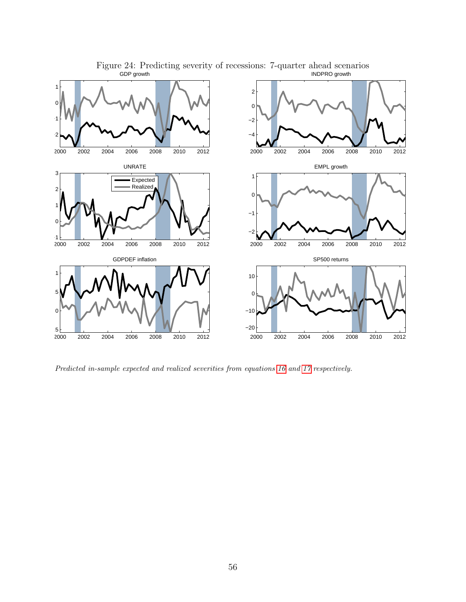

Figure 24: Predicting severity of recessions: 7-quarter ahead scenarios GDP growth INDPRO growth

Predicted in-sample expected and realized severities from equations [16](#page-18-1) and [17](#page-18-2) respectively.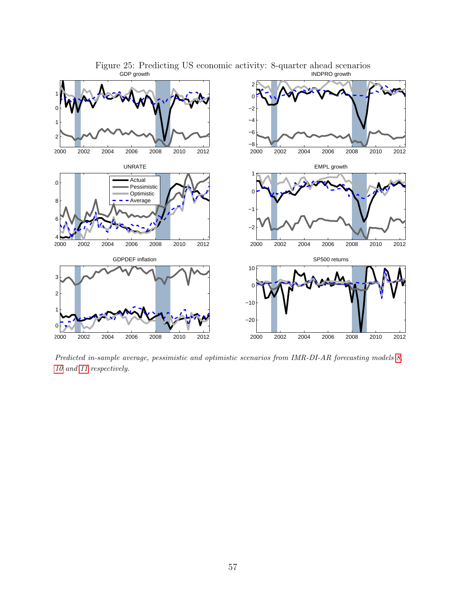

Figure 25: Predicting US economic activity: 8-quarter ahead scenarios

Predicted in-sample average, pessimistic and optimistic scenarios from IMR-DI-AR forecasting models [8,](#page-13-1) [10](#page-14-0) and [11](#page-14-1) respectively.